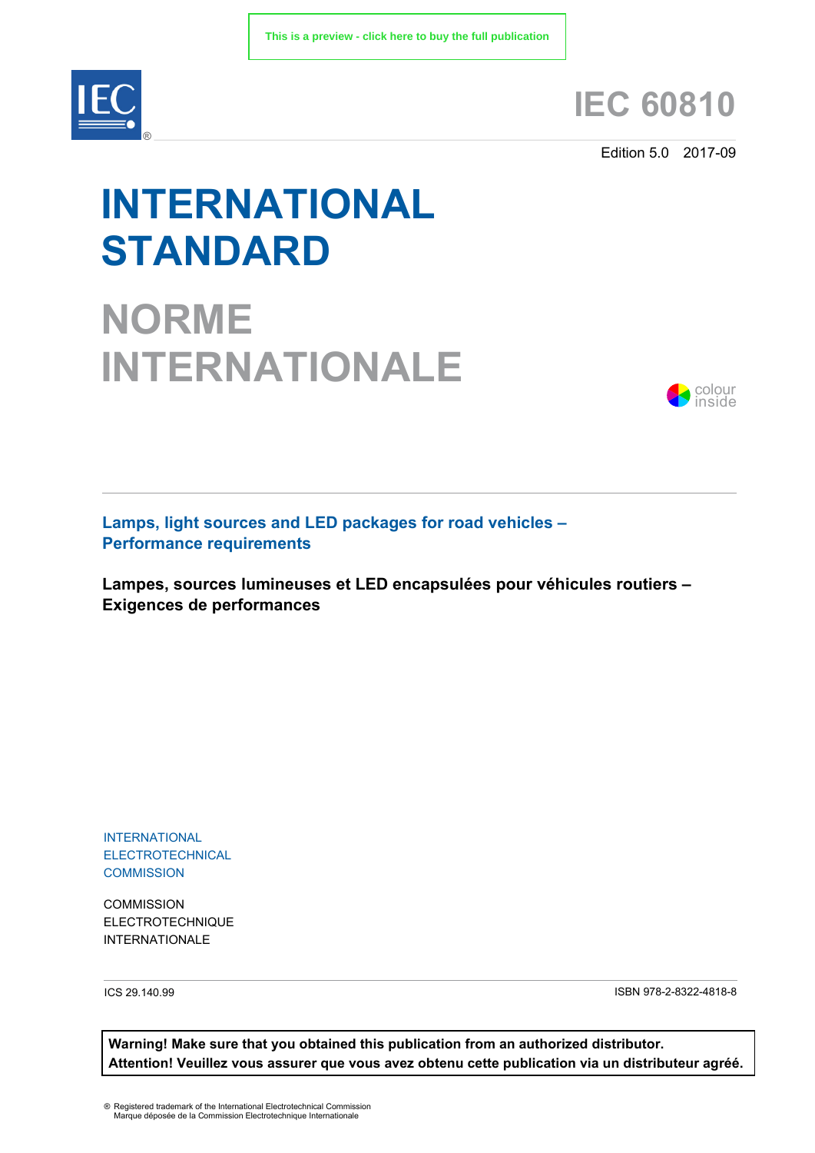

# **IEC 60810**

Edition 5.0 2017-09

# **INTERNATIONAL STANDARD**

**NORME INTERNATIONALE**



**Lamps, light sources and LED packages for road vehicles – Performance requirements**

**Lampes, sources lumineuses et LED encapsulées pour véhicules routiers – Exigences de performances**

INTERNATIONAL **ELECTROTECHNICAL COMMISSION** 

**COMMISSION** ELECTROTECHNIQUE INTERNATIONALE

ICS 29.140.99 ISBN 978-2-8322-4818-8

**Warning! Make sure that you obtained this publication from an authorized distributor. Attention! Veuillez vous assurer que vous avez obtenu cette publication via un distributeur agréé.**

® Registered trademark of the International Electrotechnical Commission Marque déposée de la Commission Electrotechnique Internationale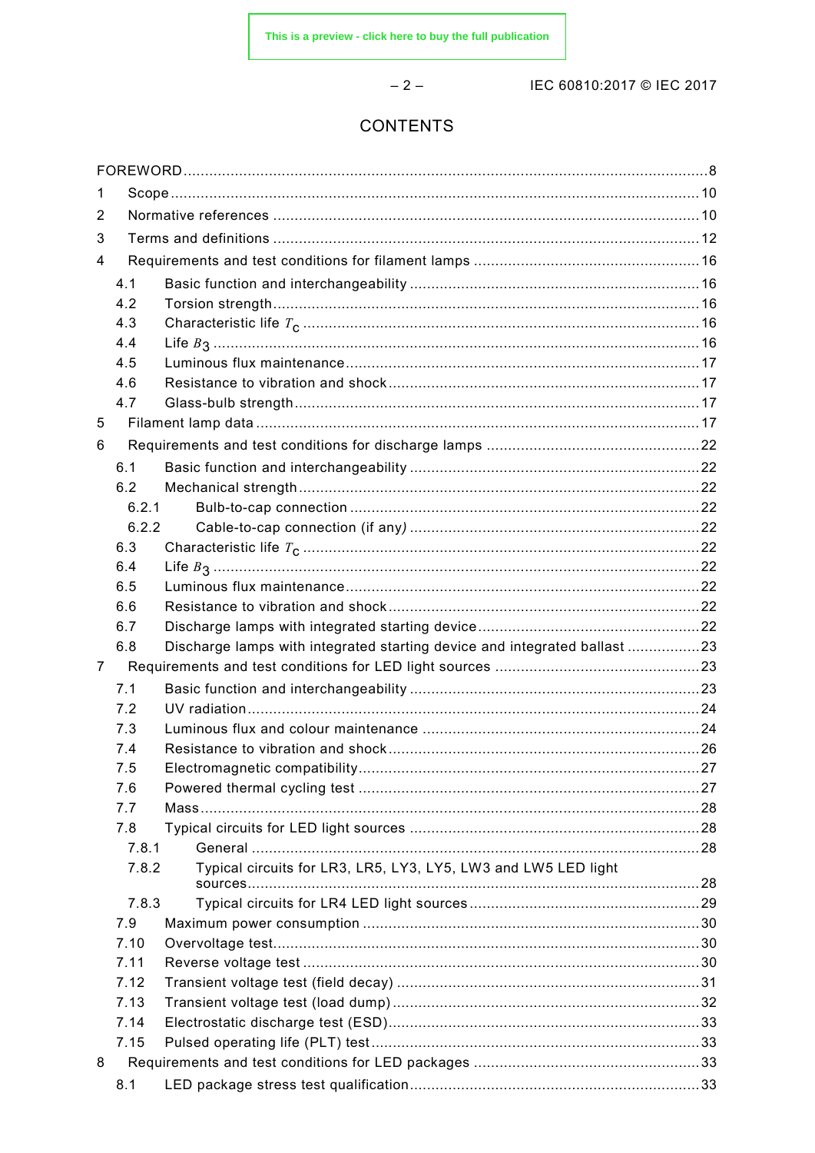$-2-$ 

IEC 60810:2017 © IEC 2017

# **CONTENTS**

| 1              |       |                                                                           |  |  |
|----------------|-------|---------------------------------------------------------------------------|--|--|
| 2              |       |                                                                           |  |  |
| 3              |       |                                                                           |  |  |
| 4              |       |                                                                           |  |  |
|                | 4.1   |                                                                           |  |  |
|                | 4.2   |                                                                           |  |  |
|                | 4.3   |                                                                           |  |  |
|                | 4.4   |                                                                           |  |  |
|                | 4.5   |                                                                           |  |  |
|                | 4.6   |                                                                           |  |  |
|                | 4.7   |                                                                           |  |  |
| 5              |       |                                                                           |  |  |
| 6              |       |                                                                           |  |  |
|                | 6.1   |                                                                           |  |  |
|                | 6.2   |                                                                           |  |  |
|                | 6.2.1 |                                                                           |  |  |
|                | 6.2.2 |                                                                           |  |  |
|                | 6.3   |                                                                           |  |  |
|                | 6.4   |                                                                           |  |  |
|                | 6.5   |                                                                           |  |  |
|                | 6.6   |                                                                           |  |  |
|                | 6.7   |                                                                           |  |  |
|                | 6.8   | Discharge lamps with integrated starting device and integrated ballast 23 |  |  |
| $\overline{7}$ |       |                                                                           |  |  |
|                | 7.1   |                                                                           |  |  |
|                | 7.2   |                                                                           |  |  |
|                | 7.3   |                                                                           |  |  |
|                | 7.4   |                                                                           |  |  |
|                | 7.5   |                                                                           |  |  |
|                | 7.6   |                                                                           |  |  |
|                | 7.7   |                                                                           |  |  |
|                | 7.8   |                                                                           |  |  |
|                | 7.8.1 |                                                                           |  |  |
|                | 7.8.2 | Typical circuits for LR3, LR5, LY3, LY5, LW3 and LW5 LED light            |  |  |
|                | 7.8.3 |                                                                           |  |  |
|                | 7.9   |                                                                           |  |  |
|                | 7.10  |                                                                           |  |  |
|                | 7.11  |                                                                           |  |  |
|                | 7.12  |                                                                           |  |  |
|                | 7.13  |                                                                           |  |  |
|                | 7.14  |                                                                           |  |  |
|                | 7.15  |                                                                           |  |  |
| 8              |       |                                                                           |  |  |
|                | 8.1   |                                                                           |  |  |
|                |       |                                                                           |  |  |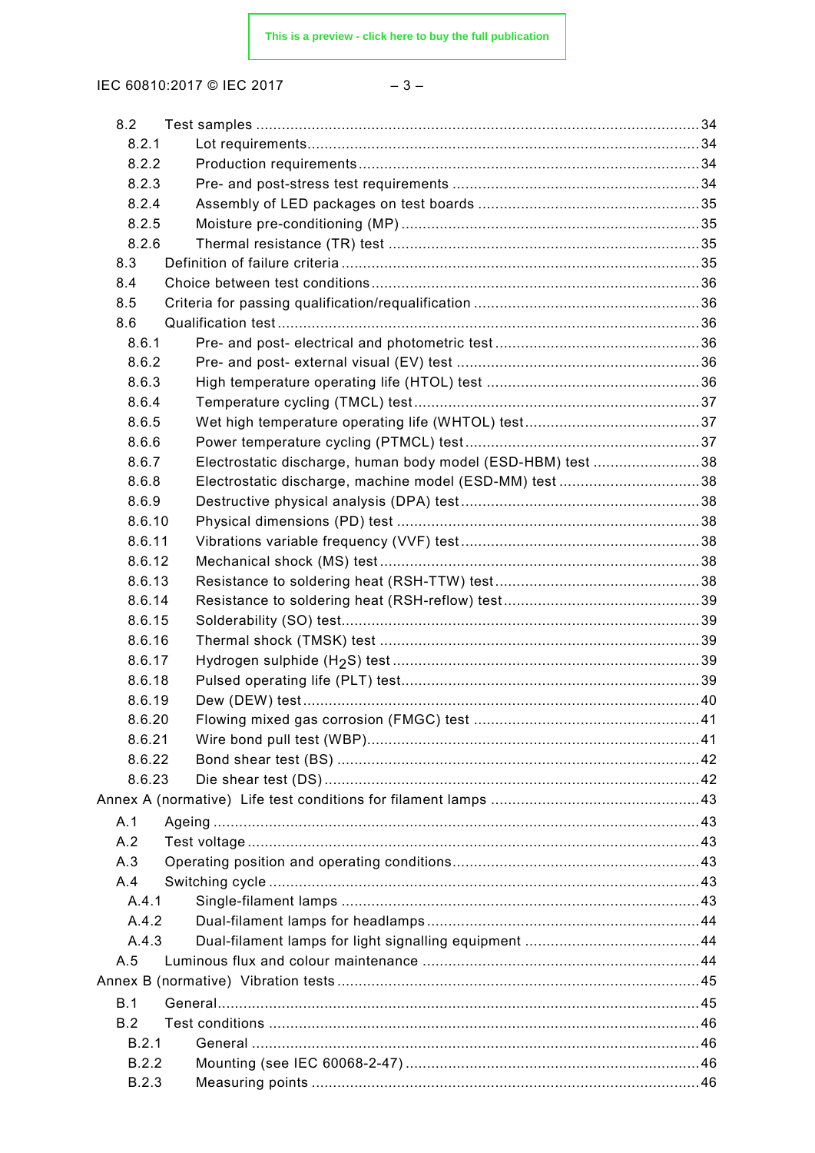IEC 60810:2017 © IEC 2017 – 3-

| 8.2    |                                                             |  |
|--------|-------------------------------------------------------------|--|
| 8.2.1  |                                                             |  |
| 8.2.2  |                                                             |  |
| 8.2.3  |                                                             |  |
| 8.2.4  |                                                             |  |
| 8.2.5  |                                                             |  |
| 8.2.6  |                                                             |  |
| 8.3    |                                                             |  |
| 8.4    |                                                             |  |
| 8.5    |                                                             |  |
| 8.6    |                                                             |  |
| 8.6.1  |                                                             |  |
| 8.6.2  |                                                             |  |
| 8.6.3  |                                                             |  |
| 8.6.4  |                                                             |  |
| 8.6.5  |                                                             |  |
| 8.6.6  |                                                             |  |
| 8.6.7  | Electrostatic discharge, human body model (ESD-HBM) test 38 |  |
| 8.6.8  | Electrostatic discharge, machine model (ESD-MM) test 38     |  |
| 8.6.9  |                                                             |  |
| 8.6.10 |                                                             |  |
| 8.6.11 |                                                             |  |
| 8.6.12 |                                                             |  |
| 8.6.13 |                                                             |  |
| 8.6.14 |                                                             |  |
| 8.6.15 |                                                             |  |
| 8.6.16 |                                                             |  |
| 8.6.17 |                                                             |  |
| 8.6.18 |                                                             |  |
| 8.6.19 |                                                             |  |
| 8.6.20 |                                                             |  |
| 8.6.21 |                                                             |  |
| 8.6.22 |                                                             |  |
| 8.6.23 |                                                             |  |
|        |                                                             |  |
| A.1    |                                                             |  |
| A.2    |                                                             |  |
| A.3    |                                                             |  |
| A.4    |                                                             |  |
| A.4.1  |                                                             |  |
| A.4.2  |                                                             |  |
| A.4.3  |                                                             |  |
| A.5    |                                                             |  |
|        |                                                             |  |
| B.1    |                                                             |  |
| B.2    |                                                             |  |
| B.2.1  |                                                             |  |
| B.2.2  |                                                             |  |
| B.2.3  |                                                             |  |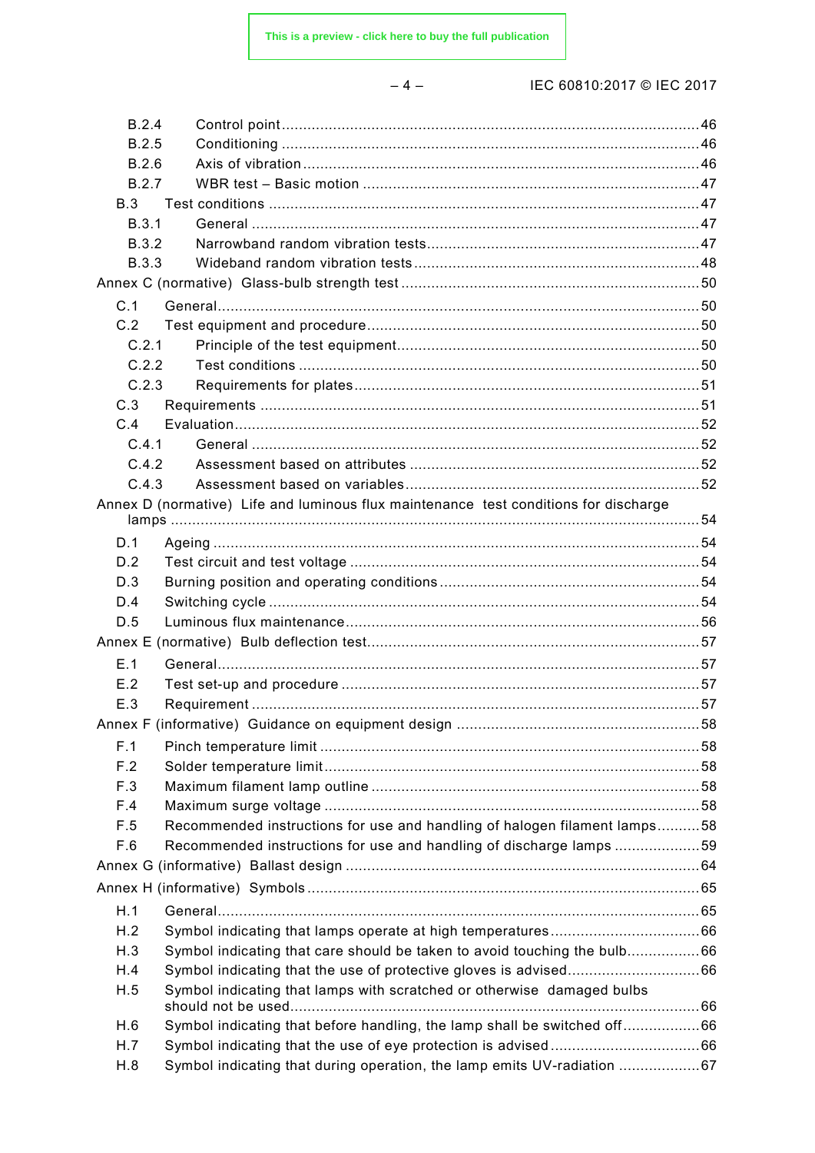$-4-$ 

## IEC 60810:2017 © IEC 2017

| B.2.4        |                                                                                      |  |
|--------------|--------------------------------------------------------------------------------------|--|
| B.2.5        |                                                                                      |  |
| B.2.6        |                                                                                      |  |
| B.2.7        |                                                                                      |  |
| B.3          |                                                                                      |  |
| B.3.1        |                                                                                      |  |
| B.3.2        |                                                                                      |  |
| <b>B.3.3</b> |                                                                                      |  |
|              |                                                                                      |  |
| C.1          |                                                                                      |  |
| C.2          |                                                                                      |  |
| C.2.1        |                                                                                      |  |
| C.2.2        |                                                                                      |  |
| C.2.3        |                                                                                      |  |
| C.3          |                                                                                      |  |
| C.4          |                                                                                      |  |
| C.4.1        |                                                                                      |  |
| C.4.2        |                                                                                      |  |
| C.4.3        |                                                                                      |  |
|              | Annex D (normative) Life and luminous flux maintenance test conditions for discharge |  |
|              |                                                                                      |  |
| D.1          |                                                                                      |  |
| D.2          |                                                                                      |  |
| D.3          |                                                                                      |  |
| D.4          |                                                                                      |  |
| D.5          |                                                                                      |  |
|              |                                                                                      |  |
| E.1          |                                                                                      |  |
| E.2          |                                                                                      |  |
| E.3          |                                                                                      |  |
|              |                                                                                      |  |
| F.1          |                                                                                      |  |
| F.2          |                                                                                      |  |
| F.3          |                                                                                      |  |
| F.4          |                                                                                      |  |
| F.5          | Recommended instructions for use and handling of halogen filament lamps58            |  |
| F.6          | Recommended instructions for use and handling of discharge lamps 59                  |  |
|              |                                                                                      |  |
|              |                                                                                      |  |
| H.1          |                                                                                      |  |
| H.2          |                                                                                      |  |
| H.3          | Symbol indicating that care should be taken to avoid touching the bulb66             |  |
| H.4          |                                                                                      |  |
| H.5          | Symbol indicating that lamps with scratched or otherwise damaged bulbs               |  |
|              |                                                                                      |  |
| H.6          | Symbol indicating that before handling, the lamp shall be switched off66             |  |
| H.7          |                                                                                      |  |
| H.8          | Symbol indicating that during operation, the lamp emits UV-radiation 67              |  |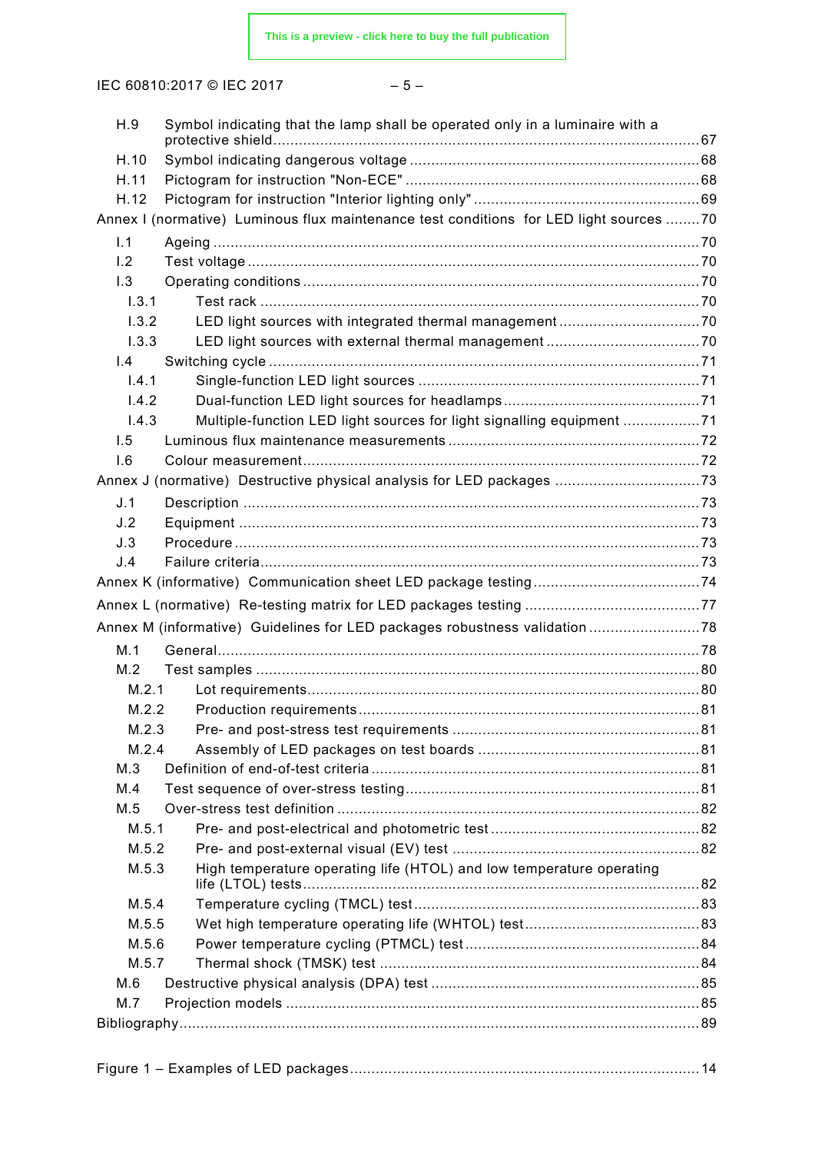IEC 60810:2017 © IEC 2017

| ×<br>۰. |
|---------|
|---------|

| H.9                           | Symbol indicating that the lamp shall be operated only in a luminaire with a           |  |
|-------------------------------|----------------------------------------------------------------------------------------|--|
| H.10                          |                                                                                        |  |
| H.11                          |                                                                                        |  |
| H.12                          |                                                                                        |  |
|                               | Annex I (normative) Luminous flux maintenance test conditions for LED light sources 70 |  |
| 1.1                           |                                                                                        |  |
| 1.2                           |                                                                                        |  |
| 1.3                           |                                                                                        |  |
| 1.3.1                         |                                                                                        |  |
| 1.3.2                         |                                                                                        |  |
| 1.3.3                         |                                                                                        |  |
| $\mathsf{I} \cdot \mathsf{4}$ |                                                                                        |  |
| 1.4.1                         |                                                                                        |  |
| 1.4.2                         |                                                                                        |  |
| 1.4.3                         | Multiple-function LED light sources for light signalling equipment 71                  |  |
| 1.5                           |                                                                                        |  |
| 1.6                           |                                                                                        |  |
|                               | Annex J (normative) Destructive physical analysis for LED packages 73                  |  |
| J.1                           |                                                                                        |  |
| J.2                           |                                                                                        |  |
| J.3                           |                                                                                        |  |
| J.4                           |                                                                                        |  |
|                               |                                                                                        |  |
|                               |                                                                                        |  |
|                               | Annex M (informative) Guidelines for LED packages robustness validation 78             |  |
| M.1                           |                                                                                        |  |
| M.2                           |                                                                                        |  |
| M.2.1                         |                                                                                        |  |
| M.2.2                         |                                                                                        |  |
| M.2.3                         |                                                                                        |  |
| M.2.4<br>M.3                  |                                                                                        |  |
| M.4                           |                                                                                        |  |
| M.5                           |                                                                                        |  |
| M.5.1                         |                                                                                        |  |
| M.5.2                         |                                                                                        |  |
| M.5.3                         | High temperature operating life (HTOL) and low temperature operating                   |  |
|                               |                                                                                        |  |
| M.5.4                         |                                                                                        |  |
| M.5.5                         |                                                                                        |  |
| M.5.6                         |                                                                                        |  |
| M.5.7                         |                                                                                        |  |
| M.6<br>M.7                    |                                                                                        |  |
|                               |                                                                                        |  |
|                               |                                                                                        |  |

Figure 1 – Examples of LED packages..................................................................................14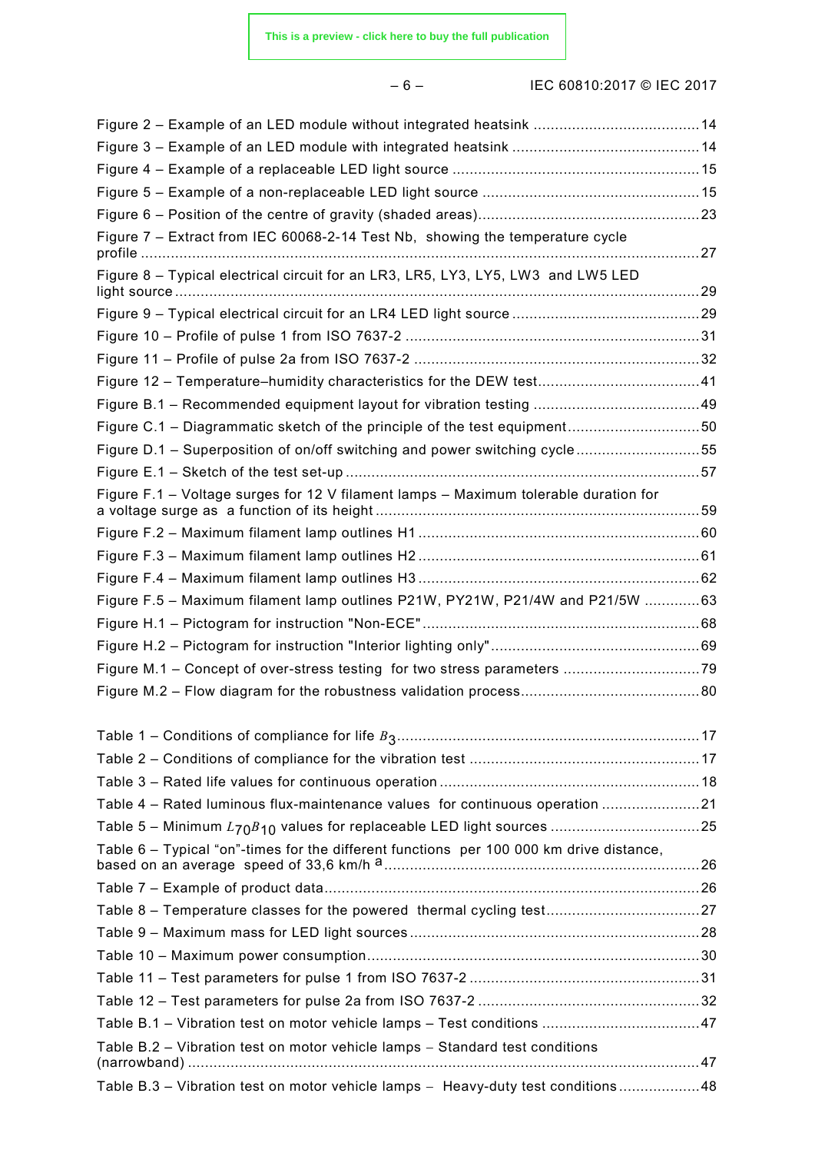# – 6 – IEC 60810:2017 © IEC 2017

| Figure 7 - Extract from IEC 60068-2-14 Test Nb, showing the temperature cycle           |  |
|-----------------------------------------------------------------------------------------|--|
| Figure 8 - Typical electrical circuit for an LR3, LR5, LY3, LY5, LW3 and LW5 LED        |  |
|                                                                                         |  |
|                                                                                         |  |
|                                                                                         |  |
|                                                                                         |  |
|                                                                                         |  |
| Figure C.1 – Diagrammatic sketch of the principle of the test equipment50               |  |
| Figure D.1 - Superposition of on/off switching and power switching cycle55              |  |
|                                                                                         |  |
| Figure F.1 - Voltage surges for 12 V filament lamps - Maximum tolerable duration for    |  |
|                                                                                         |  |
|                                                                                         |  |
|                                                                                         |  |
| Figure F.5 - Maximum filament lamp outlines P21W, PY21W, P21/4W and P21/5W 63           |  |
|                                                                                         |  |
|                                                                                         |  |
|                                                                                         |  |
|                                                                                         |  |
|                                                                                         |  |
|                                                                                         |  |
|                                                                                         |  |
| Table 4 - Rated luminous flux-maintenance values for continuous operation 21            |  |
|                                                                                         |  |
| Table 6 - Typical "on"-times for the different functions per 100 000 km drive distance, |  |
|                                                                                         |  |
| Table 8 - Temperature classes for the powered thermal cycling test27                    |  |
|                                                                                         |  |
|                                                                                         |  |
|                                                                                         |  |
|                                                                                         |  |
| Table B.1 - Vibration test on motor vehicle lamps - Test conditions 47                  |  |
| Table B.2 - Vibration test on motor vehicle lamps - Standard test conditions            |  |
| Table B.3 - Vibration test on motor vehicle lamps - Heavy-duty test conditions48        |  |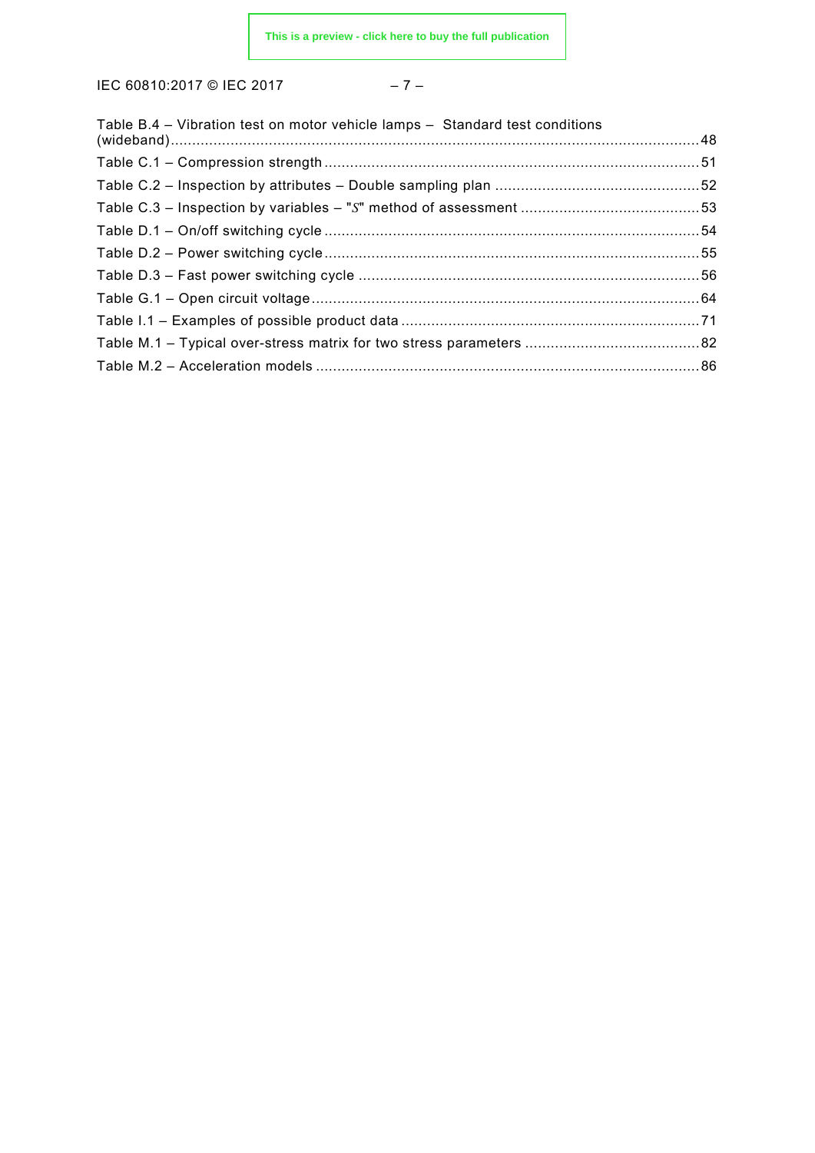IEC 60810:2017 © IEC 2017 – 7 –

| Table B.4 - Vibration test on motor vehicle lamps - Standard test conditions |  |
|------------------------------------------------------------------------------|--|
|                                                                              |  |
|                                                                              |  |
|                                                                              |  |
|                                                                              |  |
|                                                                              |  |
|                                                                              |  |
|                                                                              |  |
|                                                                              |  |
|                                                                              |  |
|                                                                              |  |
|                                                                              |  |
|                                                                              |  |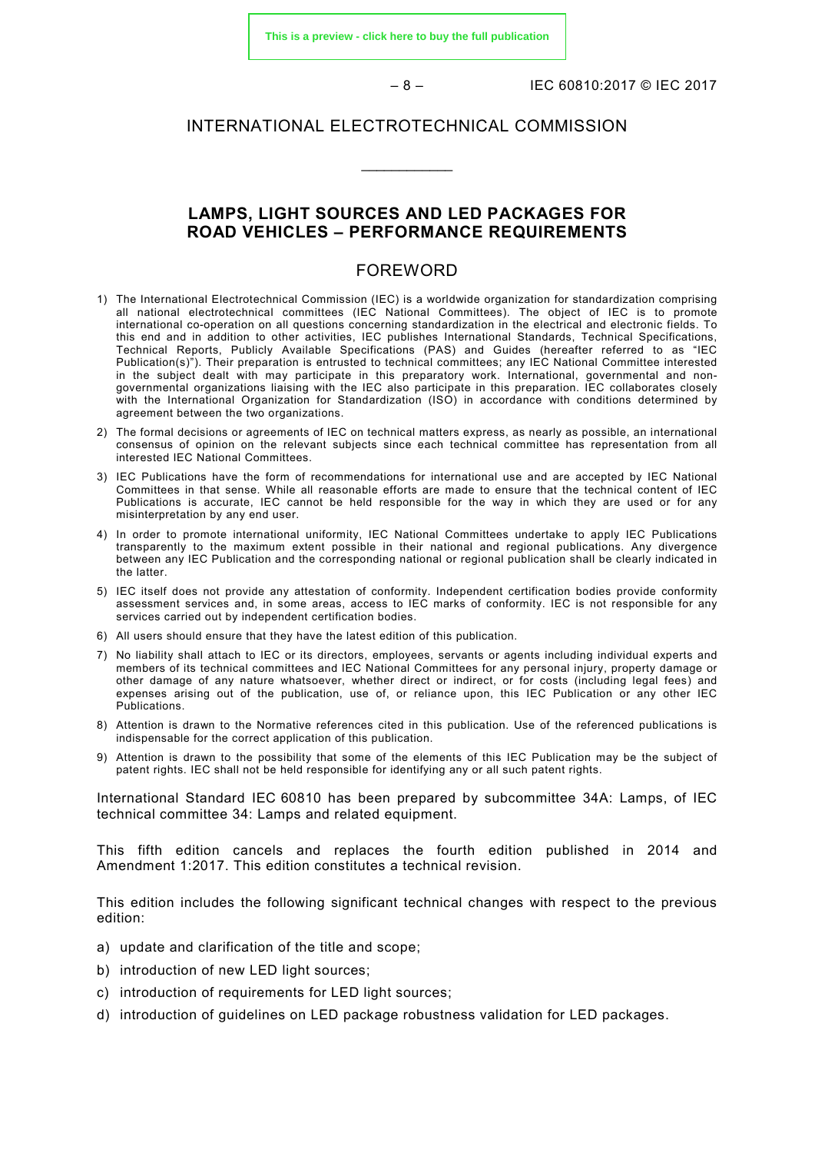**[This is a preview - click here to buy the full publication](https://webstore.iec.ch/publication/29421&preview)**

– 8 – IEC 60810:2017 © IEC 2017

#### INTERNATIONAL ELECTROTECHNICAL COMMISSION

\_\_\_\_\_\_\_\_\_\_\_\_

#### **LAMPS, LIGHT SOURCES AND LED PACKAGES FOR ROAD VEHICLES – PERFORMANCE REQUIREMENTS**

#### FOREWORD

- <span id="page-7-0"></span>1) The International Electrotechnical Commission (IEC) is a worldwide organization for standardization comprising all national electrotechnical committees (IEC National Committees). The object of IEC is to promote international co-operation on all questions concerning standardization in the electrical and electronic fields. To this end and in addition to other activities, IEC publishes International Standards, Technical Specifications, Technical Reports, Publicly Available Specifications (PAS) and Guides (hereafter referred to as "IEC Publication(s)"). Their preparation is entrusted to technical committees; any IEC National Committee interested in the subject dealt with may participate in this preparatory work. International, governmental and nongovernmental organizations liaising with the IEC also participate in this preparation. IEC collaborates closely with the International Organization for Standardization (ISO) in accordance with conditions determined by agreement between the two organizations.
- 2) The formal decisions or agreements of IEC on technical matters express, as nearly as possible, an international consensus of opinion on the relevant subjects since each technical committee has representation from all interested IEC National Committees.
- 3) IEC Publications have the form of recommendations for international use and are accepted by IEC National Committees in that sense. While all reasonable efforts are made to ensure that the technical content of IEC Publications is accurate, IEC cannot be held responsible for the way in which they are used or for any misinterpretation by any end user.
- 4) In order to promote international uniformity, IEC National Committees undertake to apply IEC Publications transparently to the maximum extent possible in their national and regional publications. Any divergence between any IEC Publication and the corresponding national or regional publication shall be clearly indicated in the latter.
- 5) IEC itself does not provide any attestation of conformity. Independent certification bodies provide conformity assessment services and, in some areas, access to IEC marks of conformity. IEC is not responsible for any services carried out by independent certification bodies.
- 6) All users should ensure that they have the latest edition of this publication.
- 7) No liability shall attach to IEC or its directors, employees, servants or agents including individual experts and members of its technical committees and IEC National Committees for any personal injury, property damage or other damage of any nature whatsoever, whether direct or indirect, or for costs (including legal fees) and expenses arising out of the publication, use of, or reliance upon, this IEC Publication or any other IEC Publications.
- 8) Attention is drawn to the Normative references cited in this publication. Use of the referenced publications is indispensable for the correct application of this publication.
- 9) Attention is drawn to the possibility that some of the elements of this IEC Publication may be the subject of patent rights. IEC shall not be held responsible for identifying any or all such patent rights.

International Standard IEC 60810 has been prepared by subcommittee 34A: Lamps, of IEC technical committee 34: Lamps and related equipment.

This fifth edition cancels and replaces the fourth edition published in 2014 and Amendment 1:2017. This edition constitutes a technical revision.

This edition includes the following significant technical changes with respect to the previous edition:

- a) update and clarification of the title and scope;
- b) introduction of new LED light sources;
- c) introduction of requirements for LED light sources;
- d) introduction of guidelines on LED package robustness validation for LED packages.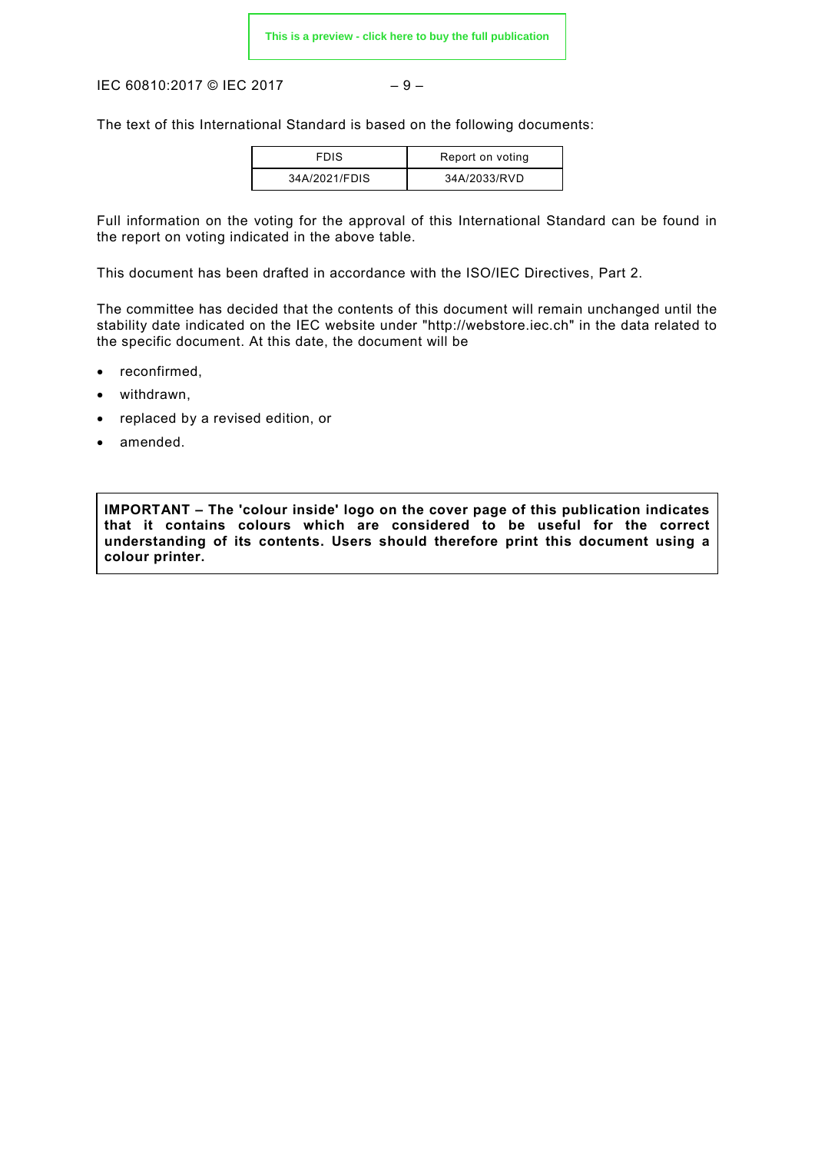IEC 60810:2017 © IEC 2017 – 9 –

The text of this International Standard is based on the following documents:

| <b>FDIS</b>   | Report on voting |
|---------------|------------------|
| 34A/2021/FDIS | 34A/2033/RVD     |

Full information on the voting for the approval of this International Standard can be found in the report on voting indicated in the above table.

This document has been drafted in accordance with the ISO/IEC Directives, Part 2.

The committee has decided that the contents of this document will remain unchanged until the stability date indicated on the IEC website under "http://webstore.iec.ch" in the data related to the specific document. At this date, the document will be

- reconfirmed,
- withdrawn,
- replaced by a revised edition, or
- amended.

**IMPORTANT – The 'colour inside' logo on the cover page of this publication indicates that it contains colours which are considered to be useful for the correct understanding of its contents. Users should therefore print this document using a colour printer.**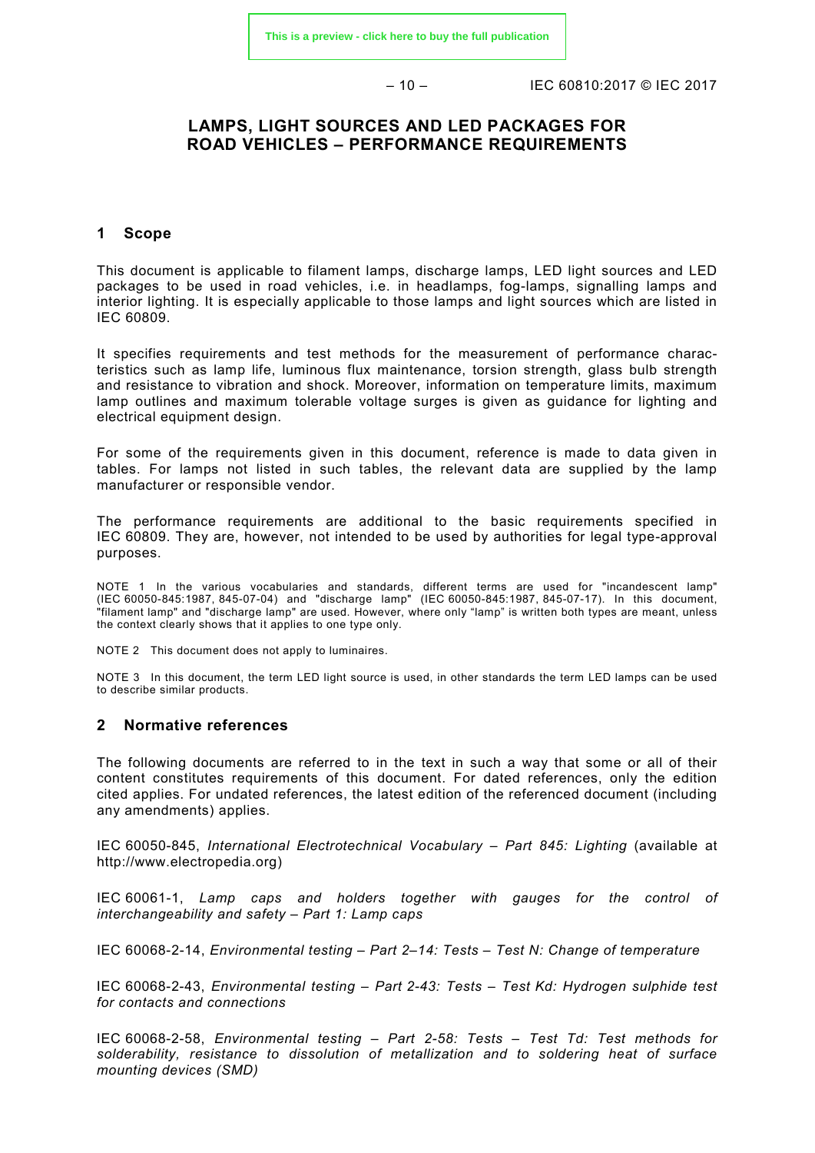– 10 – IEC 60810:2017 © IEC 2017

#### **LAMPS, LIGHT SOURCES AND LED PACKAGES FOR ROAD VEHICLES – PERFORMANCE REQUIREMENTS**

#### <span id="page-9-0"></span>**1 Scope**

This document is applicable to filament lamps, discharge lamps, LED light sources and LED packages to be used in road vehicles, i.e. in headlamps, fog-lamps, signalling lamps and interior lighting. It is especially applicable to those lamps and light sources which are listed in IEC 60809.

It specifies requirements and test methods for the measurement of performance characteristics such as lamp life, luminous flux maintenance, torsion strength, glass bulb strength and resistance to vibration and shock. Moreover, information on temperature limits, maximum lamp outlines and maximum tolerable voltage surges is given as guidance for lighting and electrical equipment design.

For some of the requirements given in this document, reference is made to data given in tables. For lamps not listed in such tables, the relevant data are supplied by the lamp manufacturer or responsible vendor.

The performance requirements are additional to the basic requirements specified in IEC 60809. They are, however, not intended to be used by authorities for legal type-approval purposes.

NOTE 1 In the various vocabularies and standards, different terms are used for "incandescent lamp" (IEC 60050-845:1987, 845-07-04) and "discharge lamp" (IEC 60050-845:1987, 845-07-17). In this document, "filament lamp" and "discharge lamp" are used. However, where only "lamp" is written both types are meant, unless the context clearly shows that it applies to one type only.

NOTE 2 This document does not apply to luminaires.

NOTE 3 In this document, the term LED light source is used, in other standards the term LED lamps can be used to describe similar products.

#### <span id="page-9-1"></span>**2 Normative references**

The following documents are referred to in the text in such a way that some or all of their content constitutes requirements of this document. For dated references, only the edition cited applies. For undated references, the latest edition of the referenced document (including any amendments) applies.

IEC 60050-845, *International Electrotechnical Vocabulary – Part 845: Lighting* (available at [http://www.electropedia.org\)](http://www.electropedia.org/)

IEC 60061-1, *Lamp caps and holders together with gauges for the control of interchangeability and safety – Part 1: Lamp caps*

IEC 60068-2-14, *Environmental testing – Part 2–14: Tests – Test N: Change of temperature*

IEC 60068-2-43, *Environmental testing – Part 2-43: Tests – Test Kd: Hydrogen sulphide test for contacts and connections*

IEC 60068-2-58, *Environmental testing – Part 2-58: Tests – Test Td: Test methods for solderability, resistance to dissolution of metallization and to soldering heat of surface mounting devices (SMD)*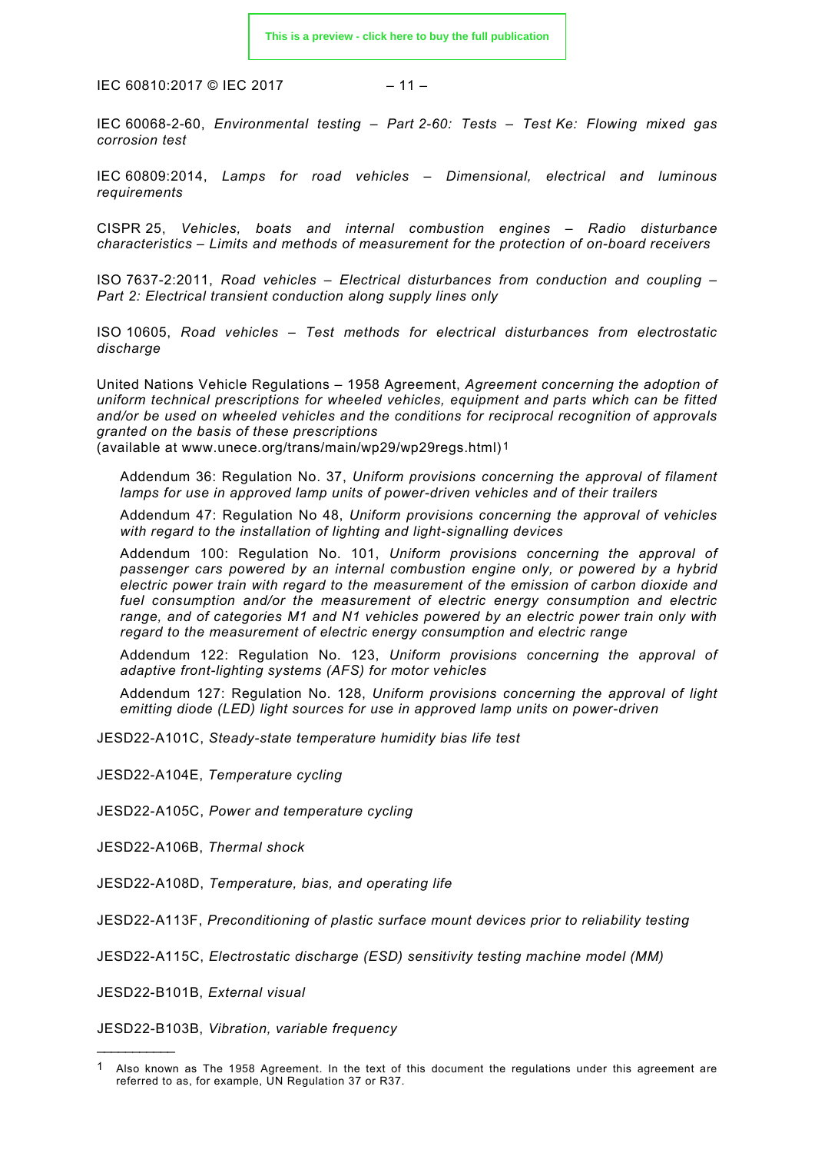IEC 60810:2017 © IEC 2017 – 11 –

IEC 60068-2-60, *Environmental testing – Part 2-60: Tests – Test Ke: Flowing mixed gas corrosion test*

IEC 60809:2014, *Lamps for road vehicles – Dimensional, electrical and luminous requirements*

CISPR 25, *Vehicles, boats and internal combustion engines – Radio disturbance characteristics – Limits and methods of measurement for the protection of on-board receivers*

ISO 7637-2:2011, *Road vehicles – Electrical disturbances from conduction and coupling – Part 2: Electrical transient conduction along supply lines only*

ISO 10605, *Road vehicles – Test methods for electrical disturbances from electrostatic discharge*

United Nations Vehicle Regulations – 1958 Agreement, *Agreement concerning the adoption of uniform technical prescriptions for wheeled vehicles, equipment and parts which can be fitted and/or be used on wheeled vehicles and the conditions for reciprocal recognition of approvals granted on the basis of these prescriptions* 

(available at [www.unece.org/trans/main/wp29/wp29regs.html\)](http://www.unece.org/trans/main/wp29/wp29regs.html)[1](#page-10-0)

Addendum 36: Regulation No. 37, *Uniform provisions concerning the approval of filament lamps for use in approved lamp units of power-driven vehicles and of their trailers*

Addendum 47: Regulation No 48, *Uniform provisions concerning the approval of vehicles with regard to the installation of lighting and light-signalling devices*

Addendum 100: Regulation No. 101, *Uniform provisions concerning the approval of passenger cars powered by an internal combustion engine only, or powered by a hybrid electric power train with regard to the measurement of the emission of carbon dioxide and fuel consumption and/or the measurement of electric energy consumption and electric range, and of categories M1 and N1 vehicles powered by an electric power train only with regard to the measurement of electric energy consumption and electric range*

Addendum 122: Regulation No. 123, *Uniform provisions concerning the approval of adaptive front-lighting systems (AFS) for motor vehicles*

Addendum 127: Regulation No. 128, *Uniform provisions concerning the approval of light emitting diode (LED) light sources for use in approved lamp units on power-driven*

JESD22-A101C, *Steady-state temperature humidity bias life test*

JESD22-A104E, *Temperature cycling*

JESD22-A105C, *Power and temperature cycling*

JESD22-A106B, *Thermal shock*

JESD22-A108D, *Temperature, bias, and operating life*

JESD22-A113F, *Preconditioning of plastic surface mount devices prior to reliability testing*

JESD22-A115C, *Electrostatic discharge (ESD) sensitivity testing machine model (MM)*

JESD22-B101B, *External visual*

\_\_\_\_\_\_\_\_\_\_\_\_\_\_

JESD22-B103B, *Vibration, variable frequency*

<span id="page-10-0"></span>Also known as The 1958 Agreement. In the text of this document the regulations under this agreement are referred to as, for example, UN Regulation 37 or R37.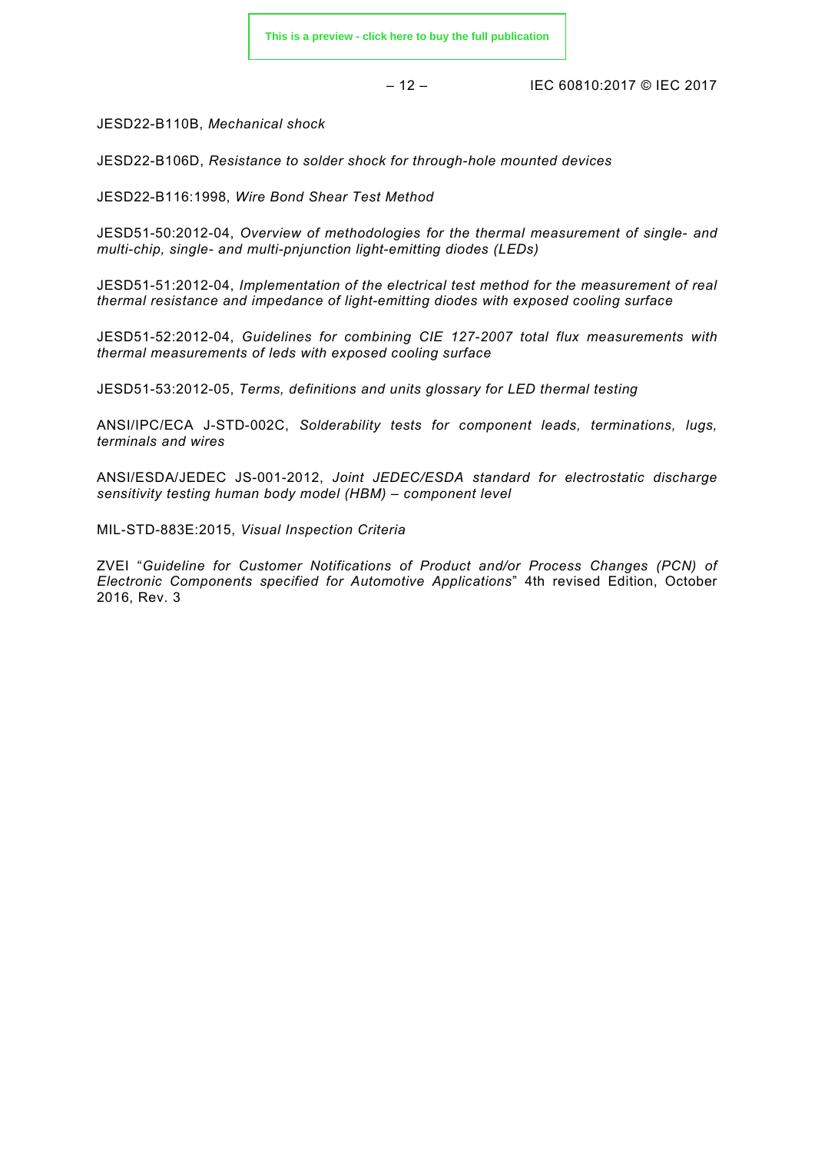– 12 – IEC 60810:2017 © IEC 2017

JESD22-B110B, *Mechanical shock*

JESD22-B106D, *Resistance to solder shock for through-hole mounted devices*

JESD22-B116:1998, *Wire Bond Shear Test Method*

JESD51-50:2012-04, *Overview of methodologies for the thermal measurement of single- and multi-chip, single- and multi-pnjunction light-emitting diodes (LEDs)*

JESD51-51:2012-04, *Implementation of the electrical test method for the measurement of real thermal resistance and impedance of light-emitting diodes with exposed cooling surface*

JESD51-52:2012-04, *Guidelines for combining CIE 127-2007 total flux measurements with thermal measurements of leds with exposed cooling surface*

JESD51-53:2012-05, *Terms, definitions and units glossary for LED thermal testing*

ANSI/IPC/ECA J-STD-002C, *Solderability tests for component leads, terminations, lugs, terminals and wires*

ANSI/ESDA/JEDEC JS-001-2012, *Joint JEDEC/ESDA standard for electrostatic discharge sensitivity testing human body model (HBM) – component level*

MIL-STD-883E:2015, *Visual Inspection Criteria*

<span id="page-11-0"></span>ZVEI "*Guideline for Customer Notifications of Product and/or Process Changes (PCN) of Electronic Components specified for Automotive Applications*" 4th revised Edition, October 2016, Rev. 3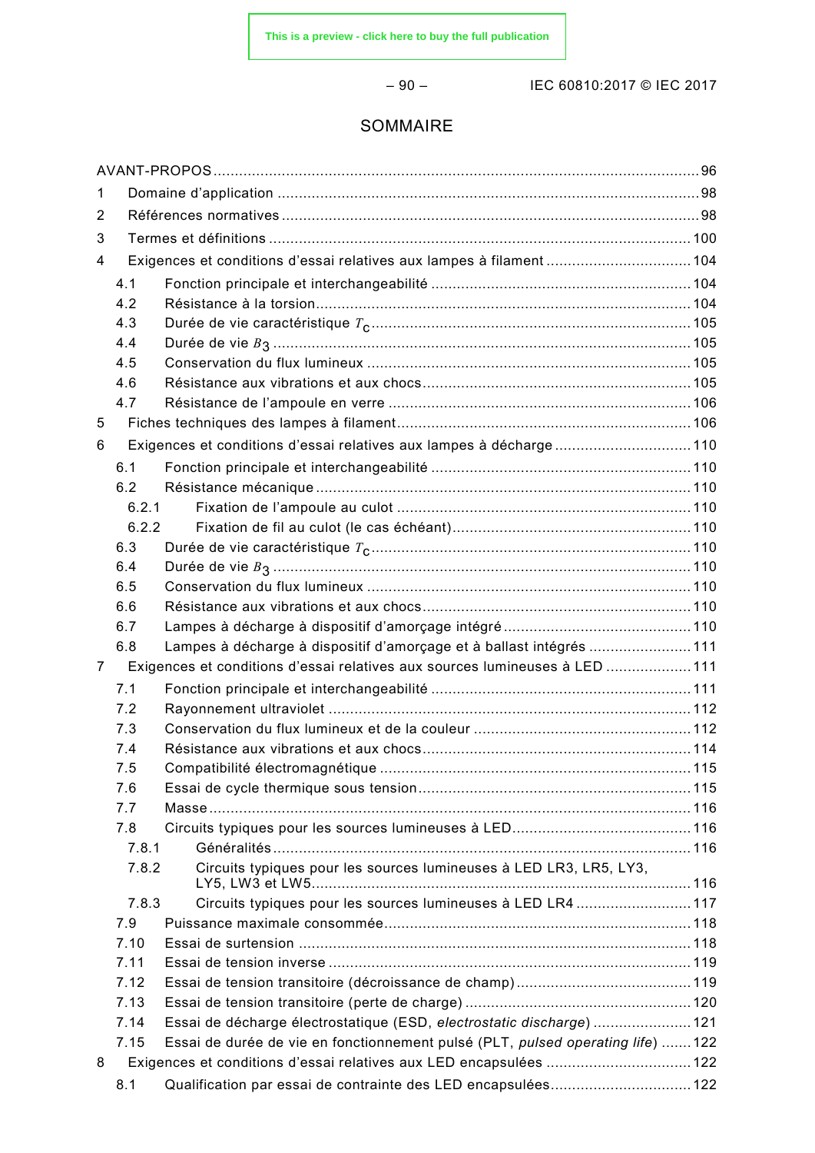– 90 – IEC 60810:2017 © IEC 2017

# SOMMAIRE

| 1 |                                                                      |                                                                                |  |
|---|----------------------------------------------------------------------|--------------------------------------------------------------------------------|--|
| 2 |                                                                      |                                                                                |  |
| 3 |                                                                      |                                                                                |  |
| 4 | Exigences et conditions d'essai relatives aux lampes à filament  104 |                                                                                |  |
|   | 4.1                                                                  |                                                                                |  |
|   | 4.2                                                                  |                                                                                |  |
|   | 4.3                                                                  |                                                                                |  |
|   | 4.4                                                                  |                                                                                |  |
|   | 4.5                                                                  |                                                                                |  |
|   | 4.6                                                                  |                                                                                |  |
|   | 4.7                                                                  |                                                                                |  |
| 5 |                                                                      |                                                                                |  |
| 6 |                                                                      | Exigences et conditions d'essai relatives aux lampes à décharge 110            |  |
|   | 6.1                                                                  |                                                                                |  |
|   | 6.2                                                                  |                                                                                |  |
|   | 6.2.1                                                                |                                                                                |  |
|   | 6.2.2                                                                |                                                                                |  |
|   | 6.3                                                                  |                                                                                |  |
|   | 6.4                                                                  |                                                                                |  |
|   | 6.5                                                                  |                                                                                |  |
|   | 6.6                                                                  |                                                                                |  |
|   | 6.7                                                                  |                                                                                |  |
|   | 6.8                                                                  | Lampes à décharge à dispositif d'amorçage et à ballast intégrés 111            |  |
| 7 |                                                                      | Exigences et conditions d'essai relatives aux sources lumineuses à LED 111     |  |
|   | 7.1                                                                  |                                                                                |  |
|   | 7.2                                                                  |                                                                                |  |
|   | 7.3                                                                  |                                                                                |  |
|   | 7.4                                                                  |                                                                                |  |
|   | 7.5                                                                  |                                                                                |  |
|   | 7.6                                                                  |                                                                                |  |
|   | 7.7                                                                  |                                                                                |  |
|   | 7.8                                                                  |                                                                                |  |
|   | 7.8.1                                                                |                                                                                |  |
|   | 7.8.2                                                                | Circuits typiques pour les sources lumineuses à LED LR3, LR5, LY3,             |  |
|   | 7.8.3                                                                | Circuits typiques pour les sources lumineuses à LED LR4  117                   |  |
|   | 7.9                                                                  |                                                                                |  |
|   | 7.10                                                                 |                                                                                |  |
|   | 7.11                                                                 |                                                                                |  |
|   | 7.12                                                                 |                                                                                |  |
|   | 7.13                                                                 |                                                                                |  |
|   | 7.14                                                                 | Essai de décharge électrostatique (ESD, electrostatic discharge)  121          |  |
|   | 7.15                                                                 | Essai de durée de vie en fonctionnement pulsé (PLT, pulsed operating life) 122 |  |
| 8 |                                                                      | Exigences et conditions d'essai relatives aux LED encapsulées  122             |  |
|   | 8.1                                                                  | Qualification par essai de contrainte des LED encapsulées 122                  |  |
|   |                                                                      |                                                                                |  |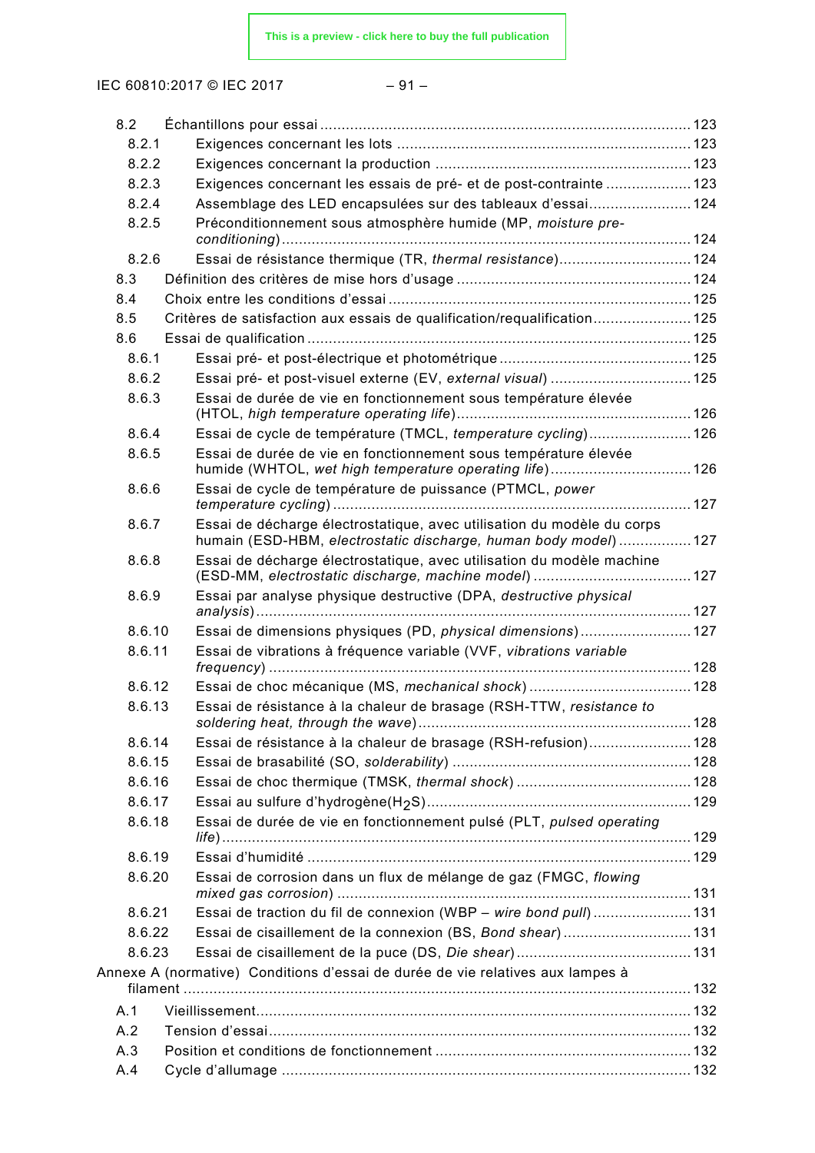IEC 60810:2017 © IEC 2017 – 91 –

| 8.2    |                                                                                                                                          |     |
|--------|------------------------------------------------------------------------------------------------------------------------------------------|-----|
| 8.2.1  |                                                                                                                                          |     |
| 8.2.2  |                                                                                                                                          |     |
| 8.2.3  | Exigences concernant les essais de pré- et de post-contrainte  123                                                                       |     |
| 8.2.4  | Assemblage des LED encapsulées sur des tableaux d'essai 124                                                                              |     |
| 8.2.5  | Préconditionnement sous atmosphère humide (MP, moisture pre-                                                                             |     |
|        |                                                                                                                                          |     |
| 8.2.6  | Essai de résistance thermique (TR, thermal resistance) 124                                                                               |     |
| 8.3    |                                                                                                                                          |     |
| 8.4    |                                                                                                                                          |     |
| 8.5    | Critères de satisfaction aux essais de qualification/requalification 125                                                                 |     |
| 8.6    |                                                                                                                                          |     |
| 8.6.1  |                                                                                                                                          |     |
| 8.6.2  | Essai pré- et post-visuel externe (EV, external visual)  125                                                                             |     |
| 8.6.3  | Essai de durée de vie en fonctionnement sous température élevée                                                                          |     |
| 8.6.4  | Essai de cycle de température (TMCL, temperature cycling) 126                                                                            |     |
| 8.6.5  | Essai de durée de vie en fonctionnement sous température élevée                                                                          |     |
|        | humide (WHTOL, wet high temperature operating life) 126                                                                                  |     |
| 8.6.6  | Essai de cycle de température de puissance (PTMCL, power                                                                                 |     |
| 8.6.7  | Essai de décharge électrostatique, avec utilisation du modèle du corps<br>humain (ESD-HBM, electrostatic discharge, human body model)127 |     |
| 8.6.8  | Essai de décharge électrostatique, avec utilisation du modèle machine                                                                    |     |
| 8.6.9  | Essai par analyse physique destructive (DPA, destructive physical                                                                        |     |
| 8.6.10 | Essai de dimensions physiques (PD, physical dimensions) 127                                                                              |     |
| 8.6.11 | Essai de vibrations à fréquence variable (VVF, vibrations variable                                                                       |     |
| 8.6.12 |                                                                                                                                          |     |
| 8.6.13 | Essai de résistance à la chaleur de brasage (RSH-TTW, resistance to                                                                      |     |
|        |                                                                                                                                          | 128 |
| 8.6.14 | Essai de résistance à la chaleur de brasage (RSH-refusion) 128                                                                           |     |
| 8.6.15 |                                                                                                                                          |     |
| 8.6.16 |                                                                                                                                          |     |
| 8.6.17 |                                                                                                                                          |     |
| 8.6.18 | Essai de durée de vie en fonctionnement pulsé (PLT, pulsed operating                                                                     |     |
| 8.6.19 |                                                                                                                                          |     |
| 8.6.20 | Essai de corrosion dans un flux de mélange de gaz (FMGC, flowing                                                                         |     |
| 8.6.21 | Essai de traction du fil de connexion (WBP - wire bond pull) 131                                                                         |     |
| 8.6.22 | Essai de cisaillement de la connexion (BS, Bond shear)131                                                                                |     |
| 8.6.23 |                                                                                                                                          |     |
|        | Annexe A (normative) Conditions d'essai de durée de vie relatives aux lampes à                                                           |     |
|        |                                                                                                                                          |     |
| A.1    |                                                                                                                                          |     |
| A.2    |                                                                                                                                          |     |
| A.3    |                                                                                                                                          |     |
| A.4    |                                                                                                                                          |     |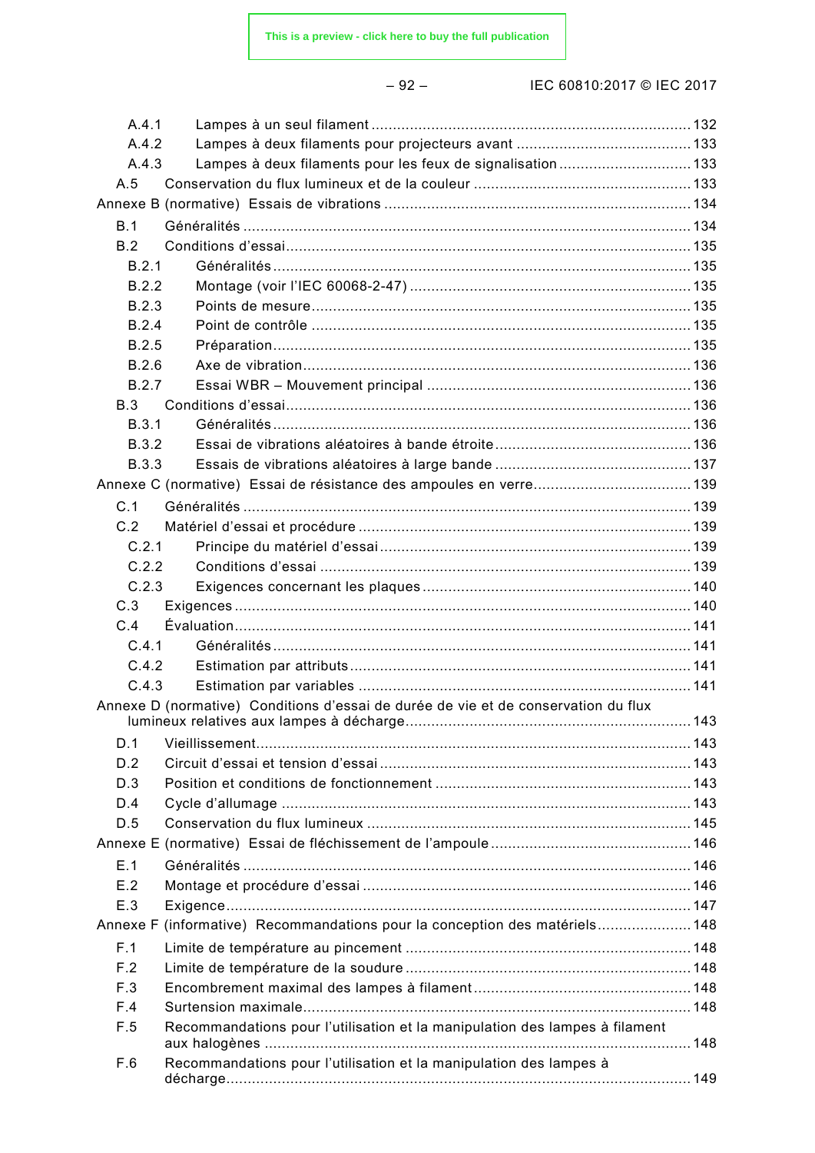## – 92 – IEC 60810:2017 © IEC 2017

| A.4.1        |                                                                                    |  |
|--------------|------------------------------------------------------------------------------------|--|
| A.4.2        |                                                                                    |  |
| A.4.3        | Lampes à deux filaments pour les feux de signalisation133                          |  |
| A.5          |                                                                                    |  |
|              |                                                                                    |  |
| B.1          |                                                                                    |  |
| B.2          |                                                                                    |  |
| B.2.1        |                                                                                    |  |
| B.2.2        |                                                                                    |  |
| B.2.3        |                                                                                    |  |
| B.2.4        |                                                                                    |  |
| B.2.5        |                                                                                    |  |
| B.2.6        |                                                                                    |  |
| B.2.7        |                                                                                    |  |
| B.3          |                                                                                    |  |
| B.3.1        |                                                                                    |  |
| B.3.2        |                                                                                    |  |
| <b>B.3.3</b> |                                                                                    |  |
|              |                                                                                    |  |
| C.1          |                                                                                    |  |
| C.2          |                                                                                    |  |
| C.2.1        |                                                                                    |  |
| C.2.2        |                                                                                    |  |
| C.2.3        |                                                                                    |  |
| C.3          |                                                                                    |  |
| C.4          |                                                                                    |  |
| C.4.1        |                                                                                    |  |
| C.4.2        |                                                                                    |  |
| C.4.3        |                                                                                    |  |
|              | Annexe D (normative) Conditions d'essai de durée de vie et de conservation du flux |  |
| D.1          |                                                                                    |  |
| D.2          |                                                                                    |  |
| D.3          |                                                                                    |  |
| D.4          |                                                                                    |  |
| D.5          |                                                                                    |  |
|              |                                                                                    |  |
| E.1          |                                                                                    |  |
| E.2          |                                                                                    |  |
| E.3          |                                                                                    |  |
|              | Annexe F (informative) Recommandations pour la conception des matériels 148        |  |
| F.1          |                                                                                    |  |
| F.2          |                                                                                    |  |
| F.3          |                                                                                    |  |
| F.4          |                                                                                    |  |
| F.5          | Recommandations pour l'utilisation et la manipulation des lampes à filament        |  |
| F.6          | Recommandations pour l'utilisation et la manipulation des lampes à                 |  |
|              |                                                                                    |  |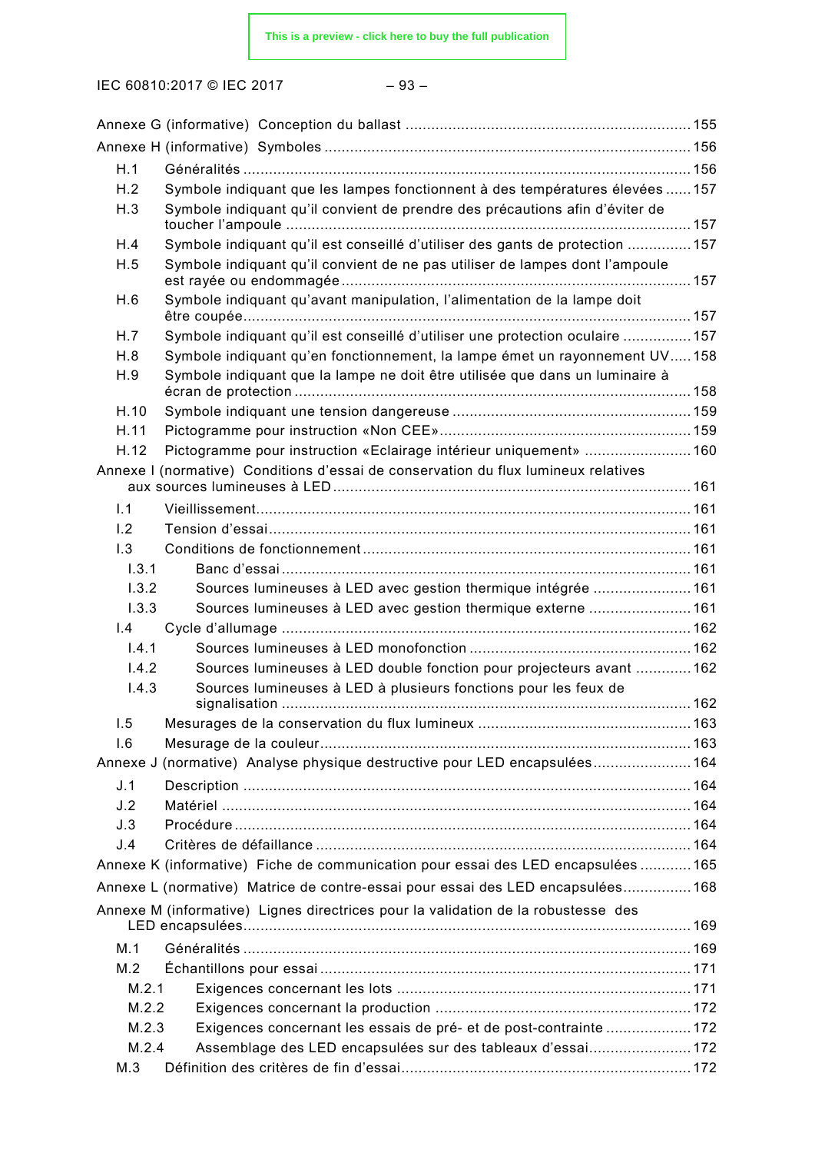IEC 60810:2017 © IEC 2017

|--|--|--|

| H.1              |                                                                                    |     |
|------------------|------------------------------------------------------------------------------------|-----|
| H.2              | Symbole indiquant que les lampes fonctionnent à des températures élevées  157      |     |
| H.3              | Symbole indiquant qu'il convient de prendre des précautions afin d'éviter de       |     |
|                  |                                                                                    |     |
| H.4              | Symbole indiquant qu'il est conseillé d'utiliser des gants de protection  157      |     |
| H.5              | Symbole indiquant qu'il convient de ne pas utiliser de lampes dont l'ampoule       |     |
| H.6              | Symbole indiquant qu'avant manipulation, l'alimentation de la lampe doit           |     |
| H.7              | Symbole indiquant qu'il est conseillé d'utiliser une protection oculaire  157      |     |
| H.8              | Symbole indiquant qu'en fonctionnement, la lampe émet un rayonnement UV158         |     |
| H.9              | Symbole indiquant que la lampe ne doit être utilisée que dans un luminaire à       |     |
| H.10             |                                                                                    |     |
| H.11             |                                                                                    |     |
| H.12             | Pictogramme pour instruction «Eclairage intérieur uniquement»  160                 |     |
|                  | Annexe I (normative) Conditions d'essai de conservation du flux lumineux relatives |     |
|                  |                                                                                    |     |
| 1.1              |                                                                                    |     |
| $\overline{1.2}$ |                                                                                    |     |
| 1.3              |                                                                                    |     |
| 1.3.1            |                                                                                    |     |
| 1.3.2            | Sources lumineuses à LED avec gestion thermique intégrée  161                      |     |
| 1.3.3            | Sources lumineuses à LED avec gestion thermique externe  161                       |     |
| $\mathsf{I}$ .4  |                                                                                    |     |
| 1.4.1            |                                                                                    |     |
| 1.4.2            | Sources lumineuses à LED double fonction pour projecteurs avant  162               |     |
| 1.4.3            | Sources lumineuses à LED à plusieurs fonctions pour les feux de                    |     |
| 1.5              | Mesurages de la conservation du flux lumineux                                      | 163 |
| 1.6              |                                                                                    |     |
|                  | Annexe J (normative) Analyse physique destructive pour LED encapsulées 164         |     |
| J.1              |                                                                                    |     |
| J.2              |                                                                                    |     |
| J.3              |                                                                                    |     |
| J.4              |                                                                                    |     |
|                  | Annexe K (informative) Fiche de communication pour essai des LED encapsulées  165  |     |
|                  | Annexe L (normative) Matrice de contre-essai pour essai des LED encapsulées168     |     |
|                  | Annexe M (informative) Lignes directrices pour la validation de la robustesse des  |     |
| M.1              |                                                                                    |     |
| M.2              |                                                                                    |     |
| M.2.1            |                                                                                    |     |
| M.2.2            |                                                                                    |     |
| M.2.3            | Exigences concernant les essais de pré- et de post-contrainte  172                 |     |
| M.2.4            | Assemblage des LED encapsulées sur des tableaux d'essai172                         |     |
| M.3              |                                                                                    |     |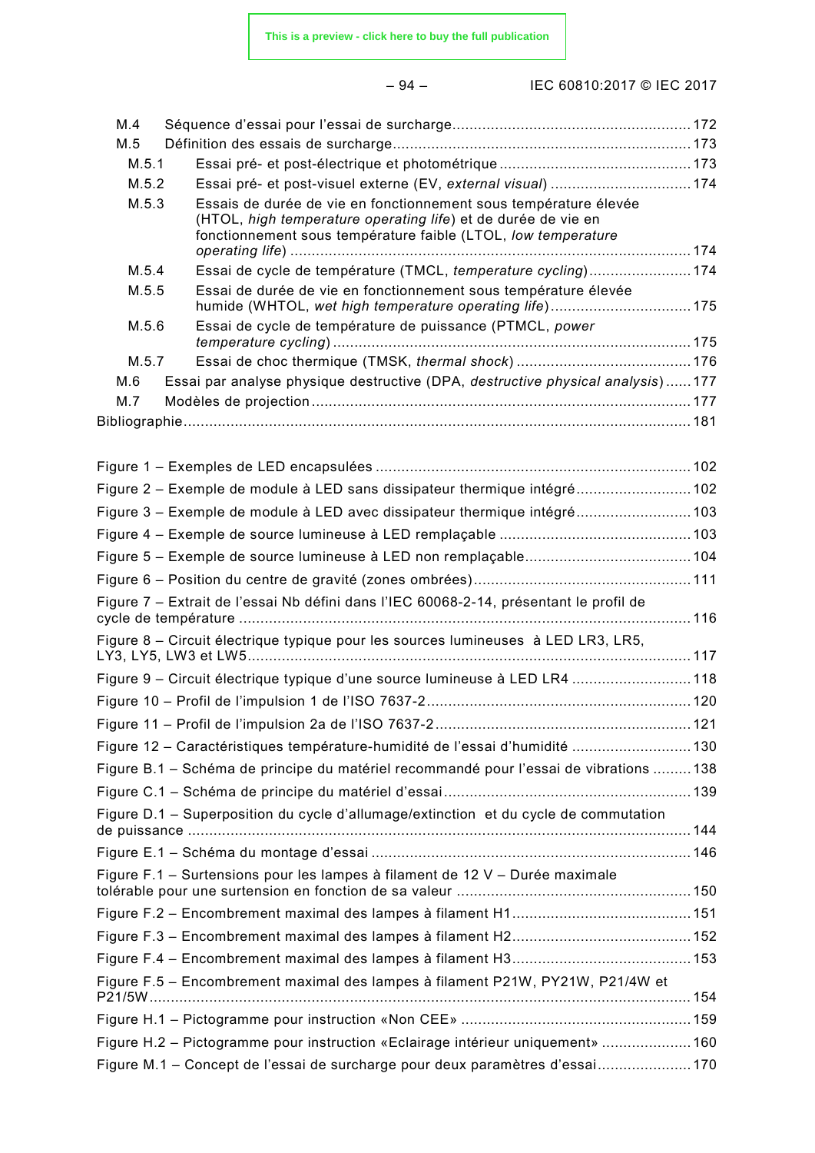| M.4          |                                                                                                                                                                                                    |  |
|--------------|----------------------------------------------------------------------------------------------------------------------------------------------------------------------------------------------------|--|
| M.5          |                                                                                                                                                                                                    |  |
| M.5.1        |                                                                                                                                                                                                    |  |
| M.5.2        | Essai pré- et post-visuel externe (EV, external visual)  174                                                                                                                                       |  |
| M.5.3        | Essais de durée de vie en fonctionnement sous température élevée<br>(HTOL, high temperature operating life) et de durée de vie en<br>fonctionnement sous température faible (LTOL, low temperature |  |
| M.5.4        | Essai de cycle de température (TMCL, temperature cycling)174                                                                                                                                       |  |
| M.5.5        | Essai de durée de vie en fonctionnement sous température élevée<br>humide (WHTOL, wet high temperature operating life) 175                                                                         |  |
| M.5.6        | Essai de cycle de température de puissance (PTMCL, power                                                                                                                                           |  |
|              |                                                                                                                                                                                                    |  |
| M.5.7<br>M.6 |                                                                                                                                                                                                    |  |
| M.7          | Essai par analyse physique destructive (DPA, destructive physical analysis)177                                                                                                                     |  |
|              |                                                                                                                                                                                                    |  |
|              |                                                                                                                                                                                                    |  |
|              |                                                                                                                                                                                                    |  |
|              | Figure 2 - Exemple de module à LED sans dissipateur thermique intégré 102                                                                                                                          |  |
|              |                                                                                                                                                                                                    |  |
|              | Figure 3 - Exemple de module à LED avec dissipateur thermique intégré 103                                                                                                                          |  |
|              |                                                                                                                                                                                                    |  |
|              |                                                                                                                                                                                                    |  |
|              |                                                                                                                                                                                                    |  |
|              | Figure 7 – Extrait de l'essai Nb défini dans l'IEC 60068-2-14, présentant le profil de                                                                                                             |  |
|              | Figure 8 - Circuit électrique typique pour les sources lumineuses à LED LR3, LR5,                                                                                                                  |  |
|              | Figure 9 – Circuit électrique typique d'une source lumineuse à LED LR4 118                                                                                                                         |  |
|              |                                                                                                                                                                                                    |  |
|              |                                                                                                                                                                                                    |  |
|              | Figure 12 - Caractéristiques température-humidité de l'essai d'humidité  130                                                                                                                       |  |
|              | Figure B.1 - Schéma de principe du matériel recommandé pour l'essai de vibrations  138                                                                                                             |  |
|              |                                                                                                                                                                                                    |  |
|              | Figure D.1 - Superposition du cycle d'allumage/extinction et du cycle de commutation                                                                                                               |  |
|              |                                                                                                                                                                                                    |  |
|              | Figure F.1 - Surtensions pour les lampes à filament de 12 V - Durée maximale                                                                                                                       |  |
|              |                                                                                                                                                                                                    |  |
|              |                                                                                                                                                                                                    |  |
|              |                                                                                                                                                                                                    |  |
|              |                                                                                                                                                                                                    |  |
|              | Figure F.5 - Encombrement maximal des lampes à filament P21W, PY21W, P21/4W et                                                                                                                     |  |
|              |                                                                                                                                                                                                    |  |
|              | Figure H.2 - Pictogramme pour instruction «Eclairage intérieur uniquement»  160                                                                                                                    |  |
|              | Figure M.1 - Concept de l'essai de surcharge pour deux paramètres d'essai170                                                                                                                       |  |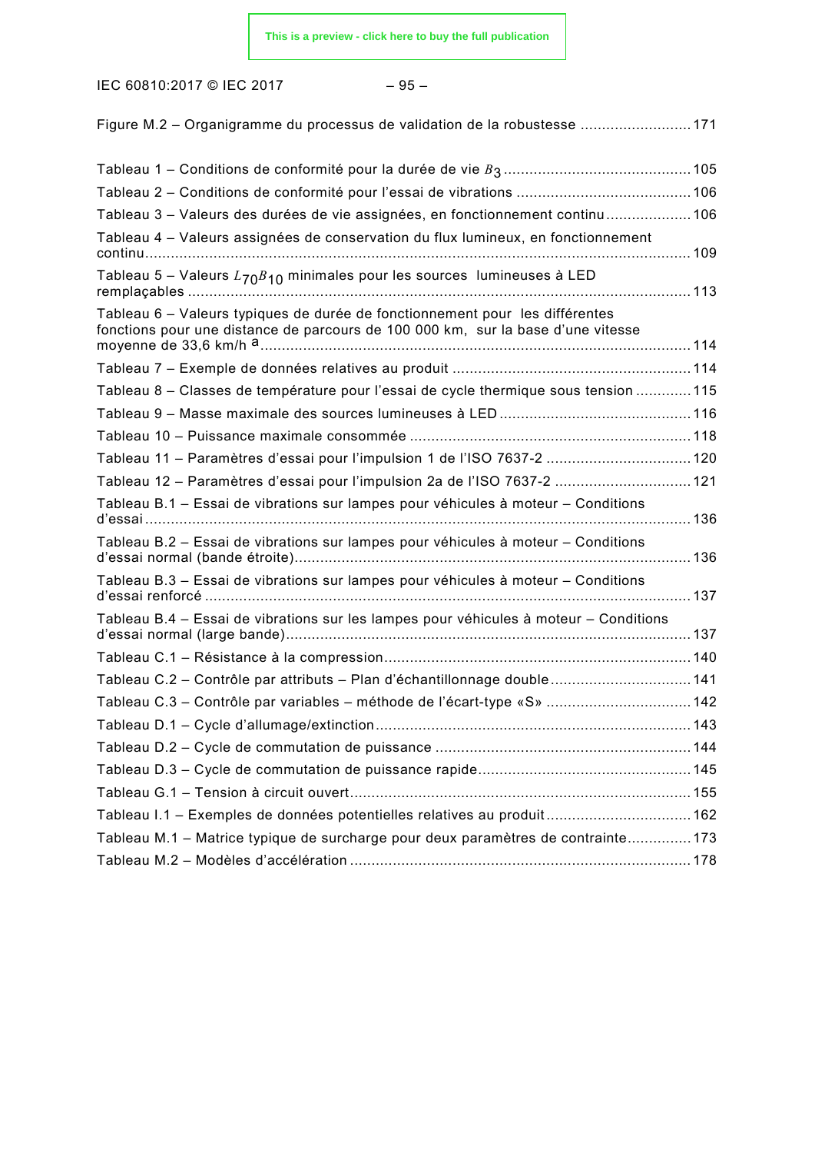IEC 60810:2017 © IEC 2017 – 95 –

| Figure M.2 - Organigramme du processus de validation de la robustesse 171                                                                                        |  |
|------------------------------------------------------------------------------------------------------------------------------------------------------------------|--|
|                                                                                                                                                                  |  |
|                                                                                                                                                                  |  |
| Tableau 3 - Valeurs des durées de vie assignées, en fonctionnement continu 106                                                                                   |  |
| Tableau 4 – Valeurs assignées de conservation du flux lumineux, en fonctionnement                                                                                |  |
| Tableau 5 – Valeurs $L_{70}B_{10}$ minimales pour les sources lumineuses à LED                                                                                   |  |
| Tableau 6 - Valeurs typiques de durée de fonctionnement pour les différentes<br>fonctions pour une distance de parcours de 100 000 km, sur la base d'une vitesse |  |
|                                                                                                                                                                  |  |
| Tableau 8 - Classes de température pour l'essai de cycle thermique sous tension 115                                                                              |  |
|                                                                                                                                                                  |  |
|                                                                                                                                                                  |  |
| Tableau 11 - Paramètres d'essai pour l'impulsion 1 de l'ISO 7637-2  120                                                                                          |  |
| Tableau 12 - Paramètres d'essai pour l'impulsion 2a de l'ISO 7637-2  121                                                                                         |  |
| Tableau B.1 - Essai de vibrations sur lampes pour véhicules à moteur - Conditions                                                                                |  |
| Tableau B.2 - Essai de vibrations sur lampes pour véhicules à moteur - Conditions                                                                                |  |
| Tableau B.3 - Essai de vibrations sur lampes pour véhicules à moteur - Conditions                                                                                |  |
| Tableau B.4 - Essai de vibrations sur les lampes pour véhicules à moteur - Conditions                                                                            |  |
|                                                                                                                                                                  |  |
| Tableau C.2 - Contrôle par attributs - Plan d'échantillonnage double 141                                                                                         |  |
| Tableau C.3 - Contrôle par variables - méthode de l'écart-type «S»  142                                                                                          |  |
|                                                                                                                                                                  |  |
|                                                                                                                                                                  |  |
|                                                                                                                                                                  |  |
|                                                                                                                                                                  |  |
| Tableau I.1 - Exemples de données potentielles relatives au produit 162                                                                                          |  |
| Tableau M.1 - Matrice typique de surcharge pour deux paramètres de contrainte173                                                                                 |  |
|                                                                                                                                                                  |  |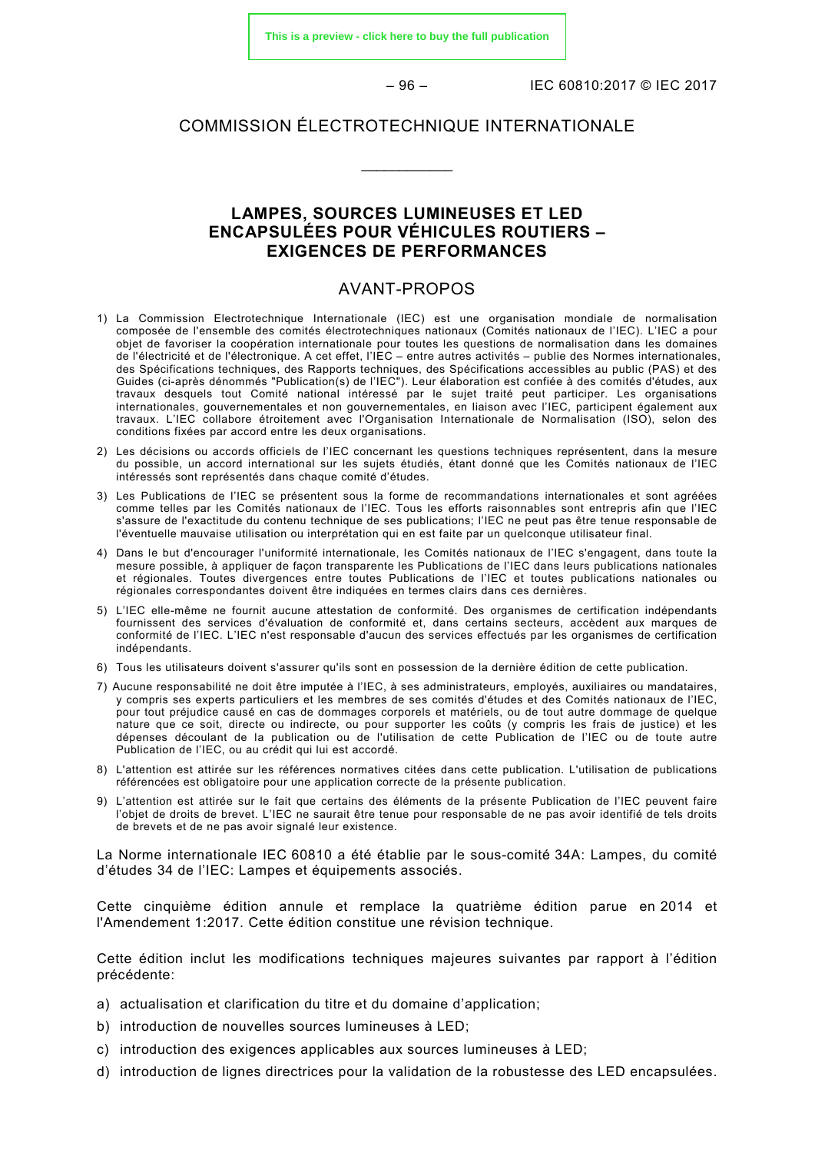**[This is a preview - click here to buy the full publication](https://webstore.iec.ch/publication/29421&preview)**

– 96 – IEC 60810:2017 © IEC 2017

#### COMMISSION ÉLECTROTECHNIQUE INTERNATIONALE

\_\_\_\_\_\_\_\_\_\_\_\_

#### **LAMPES, SOURCES LUMINEUSES ET LED ENCAPSULÉES POUR VÉHICULES ROUTIERS – EXIGENCES DE PERFORMANCES**

#### AVANT-PROPOS

- <span id="page-18-0"></span>1) La Commission Electrotechnique Internationale (IEC) est une organisation mondiale de normalisation composée de l'ensemble des comités électrotechniques nationaux (Comités nationaux de l'IEC). L'IEC a pour objet de favoriser la coopération internationale pour toutes les questions de normalisation dans les domaines de l'électricité et de l'électronique. A cet effet, l'IEC – entre autres activités – publie des Normes internationales, des Spécifications techniques, des Rapports techniques, des Spécifications accessibles au public (PAS) et des Guides (ci-après dénommés "Publication(s) de l'IEC"). Leur élaboration est confiée à des comités d'études, aux travaux desquels tout Comité national intéressé par le sujet traité peut participer. Les organisations internationales, gouvernementales et non gouvernementales, en liaison avec l'IEC, participent également aux travaux. L'IEC collabore étroitement avec l'Organisation Internationale de Normalisation (ISO), selon des conditions fixées par accord entre les deux organisations.
- 2) Les décisions ou accords officiels de l'IEC concernant les questions techniques représentent, dans la mesure du possible, un accord international sur les sujets étudiés, étant donné que les Comités nationaux de l'IEC intéressés sont représentés dans chaque comité d'études.
- 3) Les Publications de l'IEC se présentent sous la forme de recommandations internationales et sont agréées comme telles par les Comités nationaux de l'IEC. Tous les efforts raisonnables sont entrepris afin que l'IEC s'assure de l'exactitude du contenu technique de ses publications; l'IEC ne peut pas être tenue responsable de l'éventuelle mauvaise utilisation ou interprétation qui en est faite par un quelconque utilisateur final.
- 4) Dans le but d'encourager l'uniformité internationale, les Comités nationaux de l'IEC s'engagent, dans toute la mesure possible, à appliquer de façon transparente les Publications de l'IEC dans leurs publications nationales et régionales. Toutes divergences entre toutes Publications de l'IEC et toutes publications nationales ou régionales correspondantes doivent être indiquées en termes clairs dans ces dernières.
- 5) L'IEC elle-même ne fournit aucune attestation de conformité. Des organismes de certification indépendants fournissent des services d'évaluation de conformité et, dans certains secteurs, accèdent aux marques de conformité de l'IEC. L'IEC n'est responsable d'aucun des services effectués par les organismes de certification indépendants.
- 6) Tous les utilisateurs doivent s'assurer qu'ils sont en possession de la dernière édition de cette publication.
- 7) Aucune responsabilité ne doit être imputée à l'IEC, à ses administrateurs, employés, auxiliaires ou mandataires, y compris ses experts particuliers et les membres de ses comités d'études et des Comités nationaux de l'IEC, pour tout préjudice causé en cas de dommages corporels et matériels, ou de tout autre dommage de quelque nature que ce soit, directe ou indirecte, ou pour supporter les coûts (y compris les frais de justice) et les dépenses découlant de la publication ou de l'utilisation de cette Publication de l'IEC ou de toute autre Publication de l'IEC, ou au crédit qui lui est accordé.
- 8) L'attention est attirée sur les références normatives citées dans cette publication. L'utilisation de publications référencées est obligatoire pour une application correcte de la présente publication.
- 9) L'attention est attirée sur le fait que certains des éléments de la présente Publication de l'IEC peuvent faire l'objet de droits de brevet. L'IEC ne saurait être tenue pour responsable de ne pas avoir identifié de tels droits de brevets et de ne pas avoir signalé leur existence.

La Norme internationale IEC 60810 a été établie par le sous-comité 34A: Lampes, du comité d'études 34 de l'IEC: Lampes et équipements associés.

Cette cinquième édition annule et remplace la quatrième édition parue en 2014 et l'Amendement 1:2017. Cette édition constitue une révision technique.

Cette édition inclut les modifications techniques majeures suivantes par rapport à l'édition précédente:

- a) actualisation et clarification du titre et du domaine d'application;
- b) introduction de nouvelles sources lumineuses à LED;
- c) introduction des exigences applicables aux sources lumineuses à LED;
- d) introduction de lignes directrices pour la validation de la robustesse des LED encapsulées.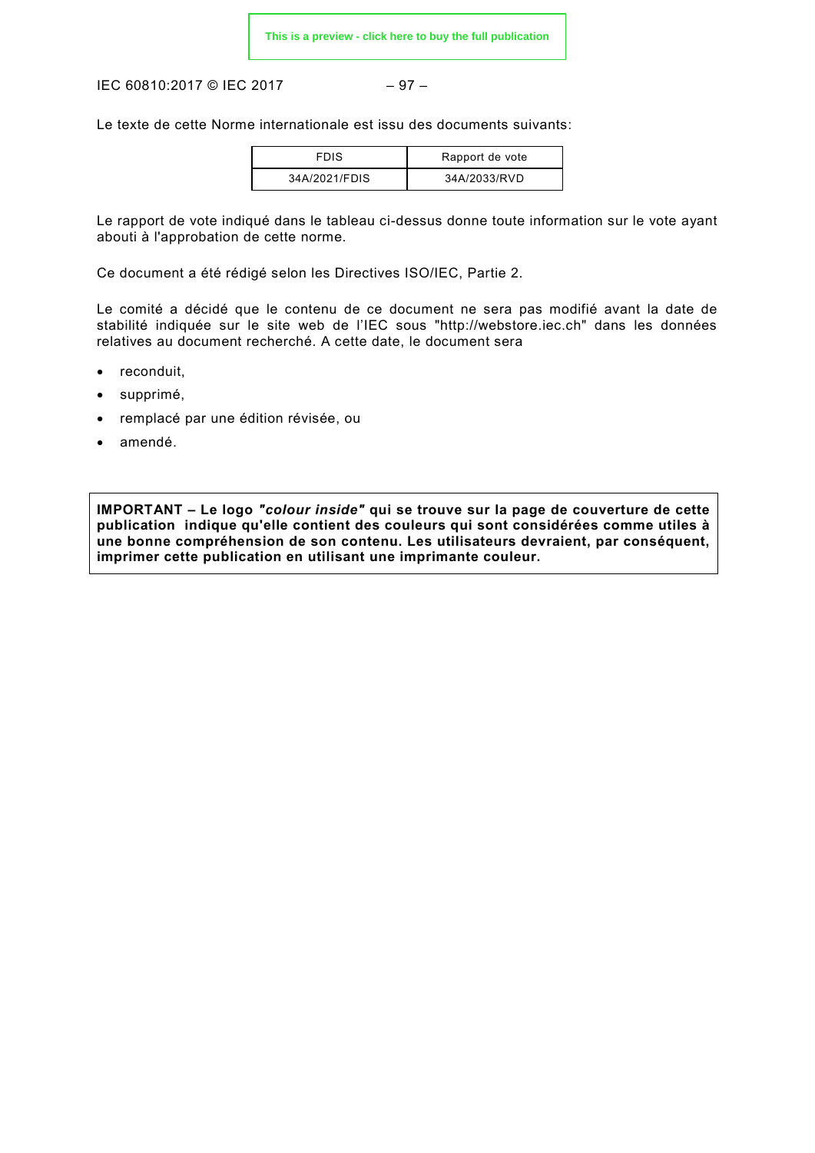IEC 60810:2017 © IEC 2017 – 97 –

Le texte de cette Norme internationale est issu des documents suivants:

| <b>FDIS</b>   | Rapport de vote |
|---------------|-----------------|
| 34A/2021/FDIS | 34A/2033/RVD    |

Le rapport de vote indiqué dans le tableau ci-dessus donne toute information sur le vote ayant abouti à l'approbation de cette norme.

Ce document a été rédigé selon les Directives ISO/IEC, Partie 2.

Le comité a décidé que le contenu de ce document ne sera pas modifié avant la date de stabilité indiquée sur le site web de l'IEC sous "http://webstore.iec.ch" dans les données relatives au document recherché. A cette date, le document sera

- reconduit,
- supprimé,
- remplacé par une édition révisée, ou
- amendé.

**IMPORTANT – Le logo** *"colour inside"* **qui se trouve sur la page de couverture de cette publication indique qu'elle contient des couleurs qui sont considérées comme utiles à une bonne compréhension de son contenu. Les utilisateurs devraient, par conséquent, imprimer cette publication en utilisant une imprimante couleur.**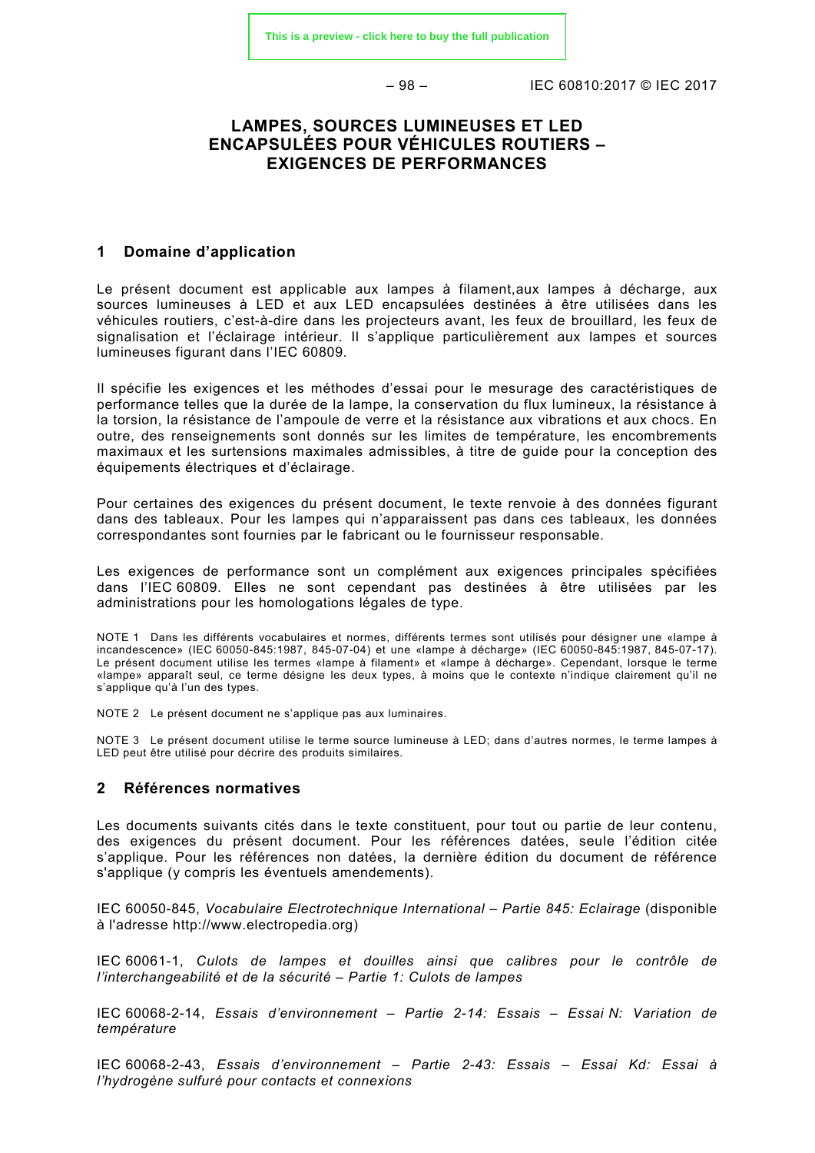– 98 – IEC 60810:2017 © IEC 2017

#### **LAMPES, SOURCES LUMINEUSES ET LED ENCAPSULÉES POUR VÉHICULES ROUTIERS – EXIGENCES DE PERFORMANCES**

#### <span id="page-20-0"></span>**1 Domaine d'application**

Le présent document est applicable aux lampes à filament,aux lampes à décharge, aux sources lumineuses à LED et aux LED encapsulées destinées à être utilisées dans les véhicules routiers, c'est-à-dire dans les projecteurs avant, les feux de brouillard, les feux de signalisation et l'éclairage intérieur. Il s'applique particulièrement aux lampes et sources lumineuses figurant dans l'IEC 60809.

Il spécifie les exigences et les méthodes d'essai pour le mesurage des caractéristiques de performance telles que la durée de la lampe, la conservation du flux lumineux, la résistance à la torsion, la résistance de l'ampoule de verre et la résistance aux vibrations et aux chocs. En outre, des renseignements sont donnés sur les limites de température, les encombrements maximaux et les surtensions maximales admissibles, à titre de guide pour la conception des équipements électriques et d'éclairage.

Pour certaines des exigences du présent document, le texte renvoie à des données figurant dans des tableaux. Pour les lampes qui n'apparaissent pas dans ces tableaux, les données correspondantes sont fournies par le fabricant ou le fournisseur responsable.

Les exigences de performance sont un complément aux exigences principales spécifiées dans l'IEC 60809. Elles ne sont cependant pas destinées à être utilisées par les administrations pour les homologations légales de type.

NOTE 1 Dans les différents vocabulaires et normes, différents termes sont utilisés pour désigner une «lampe à incandescence» (IEC 60050-845:1987, 845-07-04) et une «lampe à décharge» (IEC 60050-845:1987, 845-07-17). Le présent document utilise les termes «lampe à filament» et «lampe à décharge». Cependant, lorsque le terme «lampe» apparaît seul, ce terme désigne les deux types, à moins que le contexte n'indique clairement qu'il ne s'applique qu'à l'un des types.

NOTE 2 Le présent document ne s'applique pas aux luminaires.

NOTE 3 Le présent document utilise le terme source lumineuse à LED; dans d'autres normes, le terme lampes à LED peut être utilisé pour décrire des produits similaires.

#### <span id="page-20-1"></span>**2 Références normatives**

Les documents suivants cités dans le texte constituent, pour tout ou partie de leur contenu, des exigences du présent document. Pour les références datées, seule l'édition citée s'applique. Pour les références non datées, la dernière édition du document de référence s'applique (y compris les éventuels amendements).

IEC 60050-845, *Vocabulaire Electrotechnique International – Partie 845: Eclairage* (disponible à l'adresse http://www.electropedia.org)

IEC 60061-1, *Culots de lampes et douilles ainsi que calibres pour le contrôle de l'interchangeabilité et de la sécurité – Partie 1: Culots de lampes*

IEC 60068-2-14, *Essais d'environnement – Partie 2-14: Essais – Essai N: Variation de température*

IEC 60068-2-43, *Essais d'environnement – Partie 2-43: Essais – Essai Kd: Essai à l'hydrogène sulfuré pour contacts et connexions*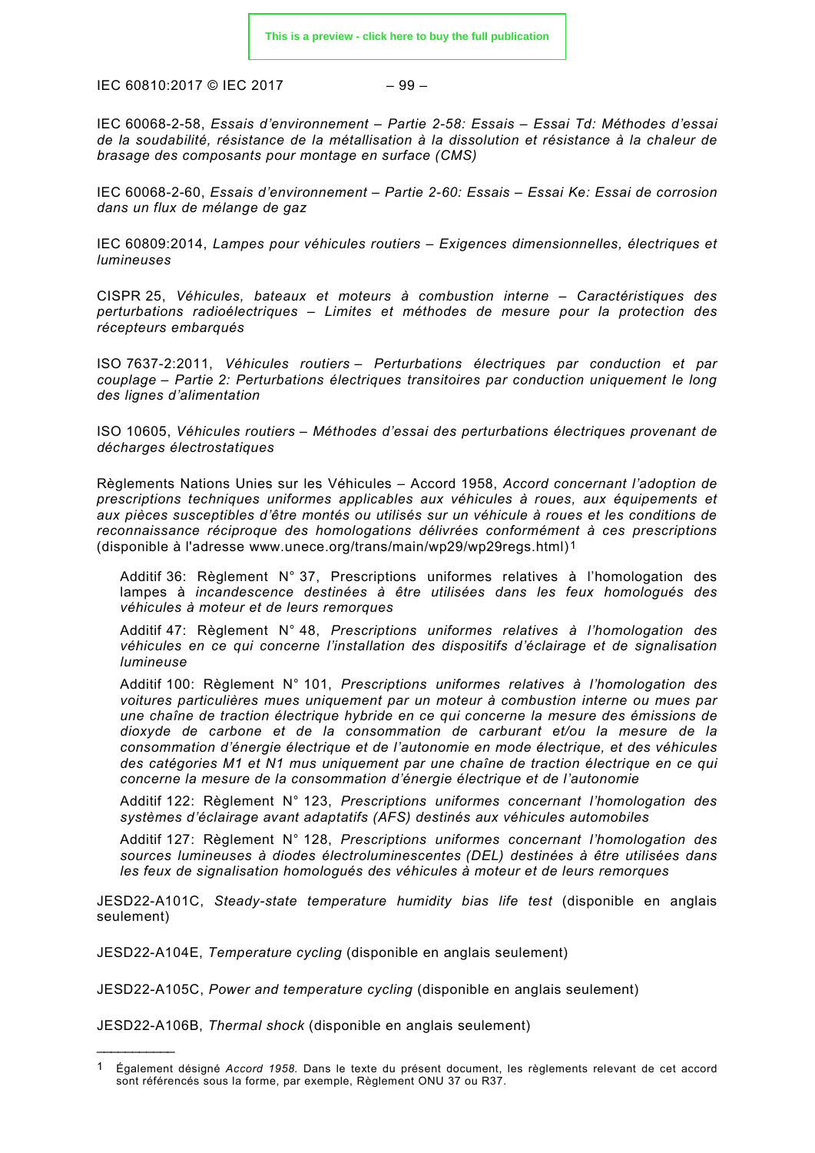IEC 60810:2017 © IEC 2017

$$
-99-
$$

IEC 60068-2-58, *Essais d'environnement – Partie 2-58: Essais – Essai Td: Méthodes d'essai de la soudabilité, résistance de la métallisation à la dissolution et résistance à la chaleur de brasage des composants pour montage en surface (CMS)*

IEC 60068-2-60, *Essais d'environnement – Partie 2-60: Essais – Essai Ke: Essai de corrosion dans un flux de mélange de gaz*

IEC 60809:2014, *Lampes pour véhicules routiers – Exigences dimensionnelles, électriques et lumineuses*

CISPR 25, *Véhicules, bateaux et moteurs à combustion interne – Caractéristiques des perturbations radioélectriques – Limites et méthodes de mesure pour la protection des récepteurs embarqués*

ISO 7637-2:2011, *Véhicules routiers – Perturbations électriques par conduction et par couplage – Partie 2: Perturbations électriques transitoires par conduction uniquement le long des lignes d'alimentation* 

ISO 10605, *Véhicules routiers – Méthodes d'essai des perturbations électriques provenant de décharges électrostatiques*

Règlements Nations Unies sur les Véhicules – Accord 1958, *Accord concernant l'adoption de prescriptions techniques uniformes applicables aux véhicules à roues, aux équipements et aux pièces susceptibles d'être montés ou utilisés sur un véhicule à roues et les conditions de reconnaissance réciproque des homologations délivrées conformément à ces prescriptions*  (disponible à l'adresse [www.unece.org/trans/main/wp29/wp29regs.html\)](http://www.unece.org/trans/main/wp29/wp29regs.html)[1](#page-21-0)

Additif 36: Règlement N° 37, Prescriptions uniformes relatives à l'homologation des lampes à *incandescence destinées à être utilisées dans les feux homologués des véhicules à moteur et de leurs remorques*

Additif 47: Règlement N° 48, *Prescriptions uniformes relatives à l'homologation des véhicules en ce qui concerne l'installation des dispositifs d'éclairage et de signalisation lumineuse*

Additif 100: Règlement N° 101, *Prescriptions uniformes relatives à l'homologation des voitures particulières mues uniquement par un moteur à combustion interne ou mues par une chaîne de traction électrique hybride en ce qui concerne la mesure des émissions de dioxyde de carbone et de la consommation de carburant et/ou la mesure de la consommation d'énergie électrique et de l'autonomie en mode électrique, et des véhicules des catégories M1 et N1 mus uniquement par une chaîne de traction électrique en ce qui concerne la mesure de la consommation d'énergie électrique et de l'autonomie*

Additif 122: Règlement N° 123, *Prescriptions uniformes concernant l'homologation des systèmes d'éclairage avant adaptatifs (AFS) destinés aux véhicules automobiles*

Additif 127: Règlement N° 128, *Prescriptions uniformes concernant l'homologation des sources lumineuses à diodes électroluminescentes (DEL) destinées à être utilisées dans les feux de signalisation homologués des véhicules à moteur et de leurs remorques*

JESD22-A101C, *Steady-state temperature humidity bias life test* (disponible en anglais seulement)

JESD22-A104E, *Temperature cycling* (disponible en anglais seulement)

JESD22-A105C, *Power and temperature cycling* (disponible en anglais seulement)

JESD22-A106B, *Thermal shock* (disponible en anglais seulement)

\_\_\_\_\_\_\_\_\_\_\_\_\_

<span id="page-21-0"></span><sup>1</sup> Également désigné *Accord 1958.* Dans le texte du présent document, les règlements relevant de cet accord sont référencés sous la forme, par exemple, Règlement ONU 37 ou R37.